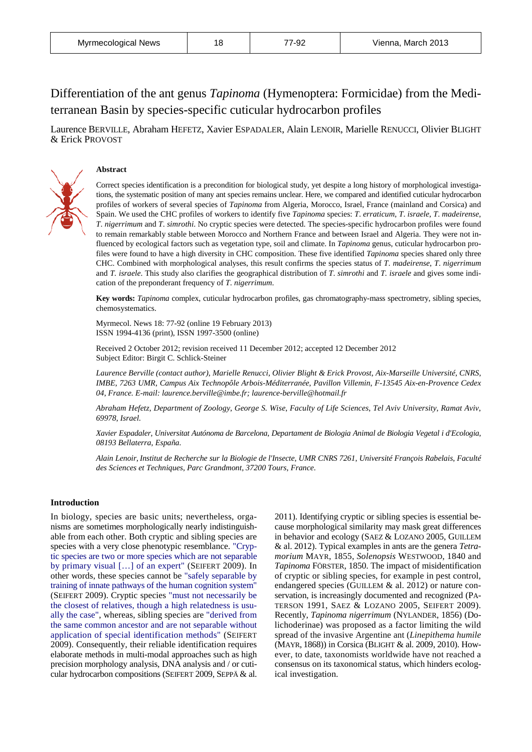# Differentiation of the ant genus *Tapinoma* (Hymenoptera: Formicidae) from the Mediterranean Basin by species-specific cuticular hydrocarbon profiles

Laurence BERVILLE, Abraham HEFETZ, Xavier ESPADALER, Alain LENOIR, Marielle RENUCCI, Olivier BLIGHT & Erick PROVOST



## **Abstract**

Correct species identification is a precondition for biological study, yet despite a long history of morphological investigations, the systematic position of many ant species remains unclear. Here, we compared and identified cuticular hydrocarbon profiles of workers of several species of *Tapinoma* from Algeria, Morocco, Israel, France (mainland and Corsica) and Spain. We used the CHC profiles of workers to identify five *Tapinoma* species: *T*. *erraticum*, *T*. *israele*, *T*. *madeirense*, *T*. *nigerrimum* and *T*. *simrothi*. No cryptic species were detected. The species-specific hydrocarbon profiles were found to remain remarkably stable between Morocco and Northern France and between Israel and Algeria. They were not influenced by ecological factors such as vegetation type, soil and climate. In *Tapinoma* genus, cuticular hydrocarbon profiles were found to have a high diversity in CHC composition. These five identified *Tapinoma* species shared only three CHC. Combined with morphological analyses, this result confirms the species status of *T*. *madeirense*, *T*. *nigerrimum* and *T. israele*. This study also clarifies the geographical distribution of *T*. *simrothi* and *T. israele* and gives some indication of the preponderant frequency of *T*. *nigerrimum*.

**Key words:** *Tapinoma* complex, cuticular hydrocarbon profiles, gas chromatography-mass spectrometry, sibling species, chemosystematics.

Myrmecol. News 18: 77-92 (online 19 February 2013) ISSN 1994-4136 (print), ISSN 1997-3500 (online)

Received 2 October 2012; revision received 11 December 2012; accepted 12 December 2012 Subject Editor: Birgit C. Schlick-Steiner

*Laurence Berville (contact author)*, *Marielle Renucci*, *Olivier Blight & Erick Provost*, *Aix-Marseille Université*, *CNRS*, *IMBE*, *7263 UMR*, *Campus Aix Technopôle Arbois-Méditerranée*, *Pavillon Villemin*, *F-13545 Aix-en-Provence Cedex 04*, *France. E-mail: laurence.berville@imbe.fr; laurence-berville@hotmail.fr*

*Abraham Hefetz*, *Department of Zoology*, *George S. Wise*, *Faculty of Life Sciences*, *Tel Aviv University*, *Ramat Aviv*, *69978*, *Israel.*

*Xavier Espadaler*, *Universitat Autónoma de Barcelona*, *Departament de Biologia Animal de Biologia Vegetal i d'Ecologia*, *08193 Bellaterra*, *España.*

*Alain Lenoir*, *Institut de Recherche sur la Biologie de l'Insecte*, *UMR CNRS 7261*, *Université François Rabelais*, *Faculté des Sciences et Techniques*, *Parc Grandmont*, *37200 Tours*, *France*.

## **Introduction**

In biology, species are basic units; nevertheless, organisms are sometimes morphologically nearly indistinguishable from each other. Both cryptic and sibling species are species with a very close phenotypic resemblance. "Cryptic species are two or more species which are not separable by primary visual […] of an expert" (SEIFERT 2009). In other words, these species cannot be "safely separable by training of innate pathways of the human cognition system" (SEIFERT 2009). Cryptic species "must not necessarily be the closest of relatives, though a high relatedness is usually the case", whereas, sibling species are "derived from the same common ancestor and are not separable without application of special identification methods" (SEIFERT 2009). Consequently, their reliable identification requires elaborate methods in multi-modal approaches such as high precision morphology analysis, DNA analysis and / or cuticular hydrocarbon compositions (SEIFERT 2009, SEPPÄ & al.

2011). Identifying cryptic or sibling species is essential because morphological similarity may mask great differences in behavior and ecology (SAEZ & LOZANO 2005, GUILLEM & al. 2012). Typical examples in ants are the genera *Tetramorium* MAYR, 1855, *Solenopsis* WESTWOOD, 1840 and *Tapinoma* FÖRSTER, 1850. The impact of misidentification of cryptic or sibling species, for example in pest control, endangered species (GUILLEM & al. 2012) or nature conservation, is increasingly documented and recognized (PA-TERSON 1991, SAEZ & LOZANO 2005, SEIFERT 2009). Recently, *Tapinoma nigerrimum* (NYLANDER, 1856) (Dolichoderinae) was proposed as a factor limiting the wild spread of the invasive Argentine ant (*Linepithema humile* (MAYR, 1868)) in Corsica (BLIGHT & al. 2009, 2010). However, to date, taxonomists worldwide have not reached a consensus on its taxonomical status, which hinders ecological investigation.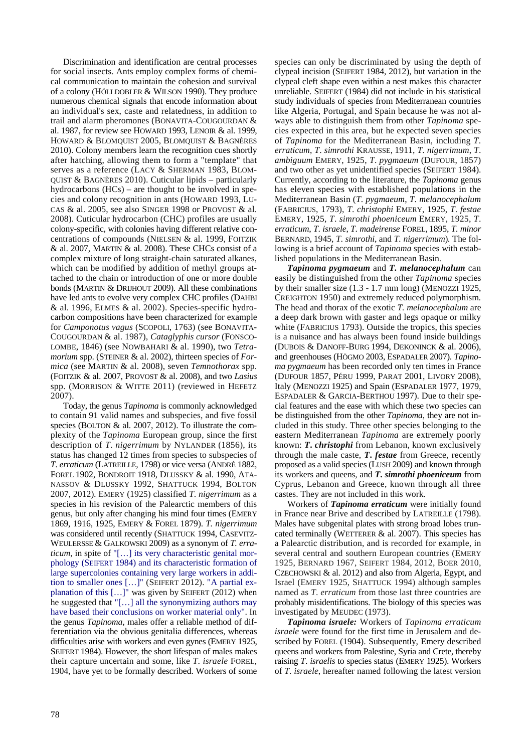Discrimination and identification are central processes for social insects. Ants employ complex forms of chemical communication to maintain the cohesion and survival of a colony (HÖLLDOBLER & WILSON 1990). They produce numerous chemical signals that encode information about an individual's sex, caste and relatedness, in addition to trail and alarm pheromones (BONAVITA-COUGOURDAN & al. 1987, for review see HOWARD 1993, LENOIR & al. 1999, HOWARD & BLOMQUIST 2005, BLOMQUIST & BAGNÈRES 2010). Colony members learn the recognition cues shortly after hatching, allowing them to form a "template" that serves as a reference (LACY & SHERMAN 1983, BLOM-QUIST & BAGNÈRES 2010). Cuticular lipids – particularly hydrocarbons (HCs) – are thought to be involved in species and colony recognition in ants (HOWARD 1993, LU-CAS & al. 2005, see also SINGER 1998 or PROVOST & al. 2008). Cuticular hydrocarbon (CHC) profiles are usually colony-specific, with colonies having different relative concentrations of compounds (NIELSEN & al. 1999, FOITZIK & al. 2007, MARTIN & al. 2008). These CHCs consist of a complex mixture of long straight-chain saturated alkanes, which can be modified by addition of methyl groups attached to the chain or introduction of one or more double bonds (MARTIN & DRIJHOUT 2009). All these combinations have led ants to evolve very complex CHC profiles (DAHBI & al. 1996, ELMES & al. 2002). Species-specific hydrocarbon compositions have been characterized for example for *Camponotus vagus* (SCOPOLI, 1763) (see BONAVITA-COUGOURDAN & al. 1987), *Cataglyphis cursor* (FONSCO-LOMBE, 1846) (see NOWBAHARI & al. 1990), two *Tetramorium* spp. (STEINER & al. 2002), thirteen species of *Formica* (see MARTIN & al. 2008), seven *Temnothorax* spp. (FOITZIK & al. 2007, PROVOST & al. 2008), and two *Lasius*  spp. (MORRISON & WITTE 2011) (reviewed in HEFETZ 2007).

Today, the genus *Tapinoma* is commonly acknowledged to contain 91 valid names and subspecies, and five fossil species (BOLTON & al. 2007, 2012). To illustrate the complexity of the *Tapinoma* European group, since the first description of *T*. *nigerrimum* by NYLANDER (1856), its status has changed 12 times from species to subspecies of *T*. *erraticum* (LATREILLE, 1798) or vice versa (ANDRÉ 1882, FOREL 1902, BONDROIT 1918, DLUSSKY & al. 1990, ATA-NASSOV & DLUSSKY 1992, SHATTUCK 1994, BOLTON 2007, 2012)*.* EMERY (1925) classified *T*. *nigerrimum* as a species in his revision of the Palearctic members of this genus, but only after changing his mind four times (EMERY 1869, 1916, 1925, EMERY & FOREL 1879). *T. nigerrimum* was considered until recently (SHATTUCK 1994, CASEVITZ-WEULERSSE & GALKOWSKI 2009) as a synonym of *T. erraticum*, in spite of "[...] its very characteristic genital morphology (SEIFERT 1984) and its characteristic formation of large supercolonies containing very large workers in addition to smaller ones […]" (SEIFERT 2012). "A partial explanation of this [...]" was given by SEIFERT (2012) when he suggested that "[…] all the synonymizing authors may have based their conclusions on worker material only". In the genus *Tapinoma*, males offer a reliable method of differentiation via the obvious genitalia differences, whereas difficulties arise with workers and even gynes (EMERY 1925, SEIFERT 1984). However, the short lifespan of males makes their capture uncertain and some, like *T*. *israele* FOREL, 1904, have yet to be formally described. Workers of some

species can only be discriminated by using the depth of clypeal incision (SEIFERT 1984, 2012), but variation in the clypeal cleft shape even within a nest makes this character unreliable. SEIFERT (1984) did not include in his statistical study individuals of species from Mediterranean countries like Algeria, Portugal, and Spain because he was not always able to distinguish them from other *Tapinoma* species expected in this area, but he expected seven species of *Tapinoma* for the Mediterranean Basin, including *T*. *erraticum*, *T*. *simrothi* KRAUSSE, 1911, *T*. *nigerrimum*, *T*. *ambiguum* EMERY, 1925, *T*. *pygmaeum* (DUFOUR, 1857) and two other as yet unidentified species (SEIFERT 1984). Currently, according to the literature, the *Tapinoma* genus has eleven species with established populations in the Mediterranean Basin (*T*. *pygmaeum*, *T*. *melanocephalum* (FABRICIUS, 1793), *T*. *christophi* EMERY, 1925, *T*. *festae*  EMERY, 1925, *T*. *simrothi phoeniceum* EMERY, 1925, *T*. *erraticum*, *T*. *israele*, *T*. *madeirense* FOREL, 1895, *T. minor* BERNARD, 1945, *T*. *simrothi*, and *T. nigerrimum*)*.* The following is a brief account of *Tapinoma* species with established populations in the Mediterranean Basin.

*Tapinoma pygmaeum* and *T. melanocephalum* can easily be distinguished from the other *Tapinoma* species by their smaller size (1.3 - 1.7 mm long) (MENOZZI 1925, CREIGHTON 1950) and extremely reduced polymorphism*.*  The head and thorax of the exotic *T. melanocephalum* are a deep dark brown with gaster and legs opaque or milky white (FABRICIUS 1793). Outside the tropics, this species is a nuisance and has always been found inside buildings (DUBOIS & DANOFF-BURG 1994, DEKONINCK & al. 2006), and greenhouses (HÖGMO 2003, ESPADALER 2007). *Tapinoma pygmaeum* has been recorded only ten times in France (DUFOUR 1857, PÉRU 1999, PARAT 2001, LIVORY 2008), Italy (MENOZZI 1925) and Spain (ESPADALER 1977, 1979, ESPADALER & GARCIA-BERTHOU 1997). Due to their special features and the ease with which these two species can be distinguished from the other *Tapinoma*, they are not included in this study. Three other species belonging to the eastern Mediterranean *Tapinoma* are extremely poorly known: *T***.** *christophi* from Lebanon, known exclusively through the male caste, *T***.** *festae* from Greece, recently proposed as a valid species (LUSH 2009) and known through its workers and queens, and *T***.** *simrothi phoeniceum* from Cyprus, Lebanon and Greece, known through all three castes. They are not included in this work.

Workers of *Tapinoma erraticum* were initially found in France near Brive and described by LATREILLE (1798). Males have subgenital plates with strong broad lobes truncated terminally (WETTERER  $&$  al. 2007). This species has a Palearctic distribution, and is recorded for example, in several central and southern European countries (EMERY 1925, BERNARD 1967, SEIFERT 1984, 2012, BOER 2010, CZECHOWSKI & al. 2012) and also from Algeria, Egypt, and Israel (EMERY 1925, SHATTUCK 1994) although samples named as *T*. *erraticum* from those last three countries are probably misidentifications. The biology of this species was investigated by MEUDEC (1973).

*Tapinoma israele:* Workers of *Tapinoma erraticum israele* were found for the first time in Jerusalem and described by FOREL (1904). Subsequently, Emery described queens and workers from Palestine, Syria and Crete, thereby raising *T*. *israelis* to species status (EMERY 1925). Workers of *T*. *israele*, hereafter named following the latest version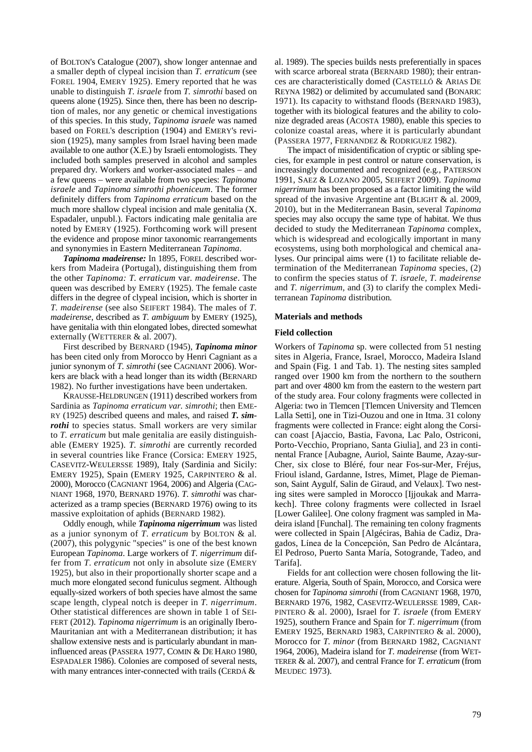of BOLTON's Catalogue (2007), show longer antennae and a smaller depth of clypeal incision than *T. erraticum* (see FOREL 1904, EMERY 1925). Emery reported that he was unable to distinguish *T. israele* from *T. simrothi* based on queens alone (1925). Since then, there has been no description of males, nor any genetic or chemical investigations of this species. In this study, *Tapinoma israele* was named based on FOREL's description (1904) and EMERY's revision (1925), many samples from Israel having been made available to one author (X.E.) by Israeli entomologists. They included both samples preserved in alcohol and samples prepared dry. Workers and worker-associated males – and a few queens – were available from two species: *Tapinoma israele* and *Tapinoma simrothi phoeniceum*. The former definitely differs from *Tapinoma erraticum* based on the much more shallow clypeal incision and male genitalia (X. Espadaler, unpubl.). Factors indicating male genitalia are noted by EMERY (1925). Forthcoming work will present the evidence and propose minor taxonomic rearrangements and synonymies in Eastern Mediterranean *Tapinoma*.

*Tapinoma madeirense:* In 1895, FOREL described workers from Madeira (Portugal), distinguishing them from the other *Tapinoma: T. erraticum* var*. madeirense*. The queen was described by EMERY (1925). The female caste differs in the degree of clypeal incision, which is shorter in *T. madeirense* (see also SEIFERT 1984). The males of *T. madeirense*, described as *T. ambiguum* by EMERY (1925), have genitalia with thin elongated lobes, directed somewhat externally (WETTERER & al. 2007).

First described by BERNARD (1945), *Tapinoma minor* has been cited only from Morocco by Henri Cagniant as a junior synonym of *T. simrothi* (see CAGNIANT 2006). Workers are black with a head longer than its width (BERNARD 1982). No further investigations have been undertaken.

KRAUSSE-HELDRUNGEN (1911) described workers from Sardinia as *Tapinoma erraticum var. simrothi*; then EME-RY (1925) described queens and males, and raised *T. simrothi* to species status. Small workers are very similar to *T. erraticum* but male genitalia are easily distinguishable (EMERY 1925). *T. simrothi* are currently recorded in several countries like France (Corsica: EMERY 1925, CASEVITZ-WEULERSSE 1989), Italy (Sardinia and Sicily: EMERY 1925), Spain (EMERY 1925, CARPINTERO & al. 2000), Morocco (CAGNIANT 1964, 2006) and Algeria (CAG-NIANT 1968, 1970, BERNARD 1976). *T. simrothi* was characterized as a tramp species (BERNARD 1976) owing to its massive exploitation of aphids (BERNARD 1982).

Oddly enough, while *Tapinoma nigerrimum* was listed as a junior synonym of *T*. *erraticum* by BOLTON & al*.* (2007), this polygynic "species" is one of the best known European *Tapinoma*. Large workers of *T. nigerrimum* differ from *T*. *erraticum* not only in absolute size (EMERY 1925), but also in their proportionally shorter scape and a much more elongated second funiculus segment. Although equally-sized workers of both species have almost the same scape length, clypeal notch is deeper in *T. nigerrimum*. Other statistical differences are shown in table 1 of SEI-FERT (2012). *Tapinoma nigerrimum* is an originally Ibero-Mauritanian ant with a Mediterranean distribution; it has shallow extensive nests and is particularly abundant in maninfluenced areas (PASSERA 1977, COMIN & DE HARO 1980, ESPADALER 1986). Colonies are composed of several nests, with many entrances inter-connected with trails (CERDÁ &

al. 1989). The species builds nests preferentially in spaces with scarce arboreal strata (BERNARD 1980); their entrances are characteristically domed (CASTELLÓ & ARIAS DE REYNA 1982) or delimited by accumulated sand (BONARIC 1971). Its capacity to withstand floods (BERNARD 1983), together with its biological features and the ability to colonize degraded areas (ACOSTA 1980), enable this species to colonize coastal areas, where it is particularly abundant (PASSERA 1977, FERNANDEZ & RODRIGUEZ 1982).

The impact of misidentification of cryptic or sibling species, for example in pest control or nature conservation, is increasingly documented and recognized (e.g*.*, PATERSON 1991, SAEZ & LOZANO 2005, SEIFERT 2009). *Tapinoma nigerrimum* has been proposed as a factor limiting the wild spread of the invasive Argentine ant (BLIGHT & al. 2009, 2010), but in the Mediterranean Basin, several *Tapinoma* species may also occupy the same type of habitat. We thus decided to study the Mediterranean *Tapinoma* complex, which is widespread and ecologically important in many ecosystems, using both morphological and chemical analyses. Our principal aims were (1) to facilitate reliable determination of the Mediterranean *Tapinoma* species, (2) to confirm the species status of *T. israele*, *T. madeirense* and *T. nigerrimum*, and (3) to clarify the complex Mediterranean *Tapinoma* distribution*.*

## **Materials and methods**

#### **Field collection**

Workers of *Tapinoma* sp. were collected from 51 nesting sites in Algeria, France, Israel, Morocco, Madeira Island and Spain (Fig. 1 and Tab. 1). The nesting sites sampled ranged over 1900 km from the northern to the southern part and over 4800 km from the eastern to the western part of the study area. Four colony fragments were collected in Algeria: two in Tlemcen [Tlemcen University and Tlemcen Lalla Setti], one in Tizi-Ouzou and one in Itma. 31 colony fragments were collected in France: eight along the Corsican coast [Ajaccio, Bastia, Favona, Lac Palo, Ostriconi, Porto-Vecchio, Propriano, Santa Giulia], and 23 in continental France [Aubagne, Auriol, Sainte Baume, Azay-sur-Cher, six close to Bléré, four near Fos-sur-Mer, Fréjus, Frioul island, Gardanne, Istres, Mimet, Plage de Piemanson, Saint Aygulf, Salin de Giraud, and Velaux]. Two nesting sites were sampled in Morocco [Ijjoukak and Marrakech]. Three colony fragments were collected in Israel [Lower Galilee]. One colony fragment was sampled in Madeira island [Funchal]. The remaining ten colony fragments were collected in Spain [Algéciras, Bahia de Cadiz, Dragados, Línea de la Concepciόn, San Pedro de Alcántara, El Pedroso, Puerto Santa María, Sotogrande, Tadeo, and Tarifa].

Fields for ant collection were chosen following the literature. Algeria, South of Spain, Morocco, and Corsica were chosen for *Tapinoma simrothi* (from CAGNIANT 1968, 1970, BERNARD 1976, 1982, CASEVITZ-WEULERSSE 1989, CAR-PINTERO & al. 2000), Israel for *T. israele* (from EMERY 1925), southern France and Spain for *T. nigerrimum* (from EMERY 1925, BERNARD 1983, CARPINTERO & al. 2000), Morocco for *T. minor* (from BERNARD 1982, CAGNIANT 1964, 2006), Madeira island for *T. madeirense* (from WET-TERER & al. 2007), and central France for *T. erraticum* (from MEUDEC 1973).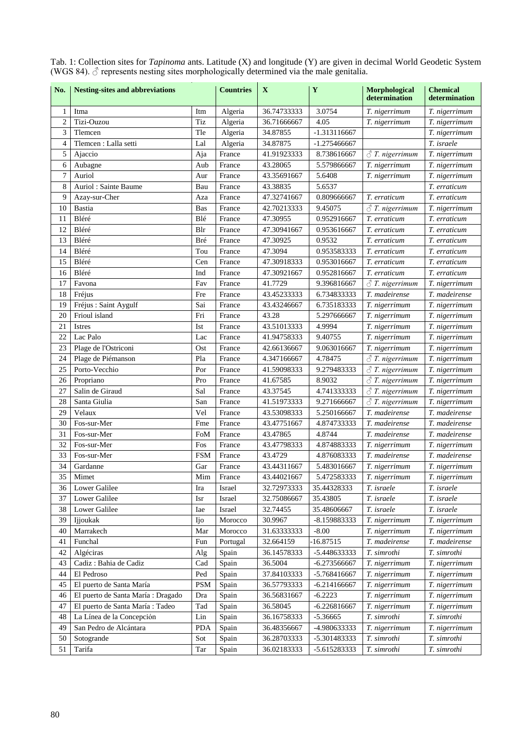| No.            | <b>Nesting-sites and abbreviations</b> |            | <b>Countries</b> | $\mathbf X$ | $\mathbf Y$    | Morphological<br>determination                      | <b>Chemical</b><br>determination |
|----------------|----------------------------------------|------------|------------------|-------------|----------------|-----------------------------------------------------|----------------------------------|
| $\mathbf{1}$   | Itma                                   | Itm        | Algeria          | 36.74733333 | 3.0754         | T. nigerrimum                                       | T. nigerrimum                    |
| $\overline{2}$ | Tizi-Ouzou                             | Tiz        | Algeria          | 36.71666667 | 4.05           | T. nigerrimum                                       | T. nigerrimum                    |
| 3              | Tlemcen                                | Tle        | Algeria          | 34.87855    | -1.313116667   |                                                     | T. nigerrimum                    |
| $\overline{4}$ | Tlemcen : Lalla setti                  | Lal        | Algeria          | 34.87875    | $-1.275466667$ |                                                     | T. israele                       |
| 5              | Ajaccio                                | Aja        | France           | 41.91923333 | 8.738616667    | $\triangle$ T. nigerrimum                           | T. nigerrimum                    |
| 6              | Aubagne                                | Aub        | France           | 43.28065    | 5.579866667    | T. nigerrimum                                       | T. nigerrimum                    |
| 7              | Auriol                                 | Aur        | France           | 43.35691667 | 5.6408         | T. nigerrimum                                       | T. nigerrimum                    |
| 8              | Auriol: Sainte Baume                   | Bau        | France           | 43.38835    | 5.6537         |                                                     | T. erraticum                     |
| 9              | Azay-sur-Cher                          | Aza        | France           | 47.32741667 | 0.809666667    | T. erraticum                                        | T. erraticum                     |
| 10             | <b>Bastia</b>                          | Bas        | France           | 42.70213333 | 9.45075        | $\triangle$ T. nigerrimum                           | T. nigerrimum                    |
| 11             | Bléré                                  | Blé        | France           | 47.30955    | 0.952916667    | T. erraticum                                        | T. erraticum                     |
| 12             | Bléré                                  | Blr        | France           | 47.30941667 | 0.953616667    | T. erraticum                                        | T. erraticum                     |
| 13             | Bléré                                  | Bré        | France           | 47.30925    | 0.9532         | T. erraticum                                        | T. erraticum                     |
| 14             | Bléré                                  | Tou        | France           | 47.3094     | 0.953583333    | T. erraticum                                        | T. erraticum                     |
| 15             | Bléré                                  | Cen        | France           | 47.30918333 | 0.953016667    | T. erraticum                                        | T. erraticum                     |
| 16             | Bléré                                  | Ind        | France           | 47.30921667 | 0.952816667    | T. erraticum                                        | T. erraticum                     |
| 17             | Favona                                 | Fav        | France           | 41.7729     | 9.396816667    | $\triangle$ T. nigerrimum                           | T. nigerrimum                    |
| 18             | Fréjus                                 | Fre        | France           | 43.45233333 | 6.734833333    | T. madeirense                                       | T. madeirense                    |
| 19             | Fréjus : Saint Aygulf                  | Sai        | France           | 43.43246667 | 6.735183333    | T. nigerrimum                                       | T. nigerrimum                    |
| 20             | Frioul island                          | Fri        | France           | 43.28       | 5.297666667    | T. nigerrimum                                       | T. nigerrimum                    |
| 21             | <b>Istres</b>                          | Ist        | France           | 43.51013333 | 4.9994         | T. nigerrimum                                       | T. nigerrimum                    |
| 22             | Lac Palo                               | Lac        | France           | 41.94758333 | 9.40755        | T. nigerrimum                                       | T. nigerrimum                    |
| 23             | Plage de l'Ostriconi                   | Ost        | France           | 42.66136667 | 9.063016667    | T. nigerrimum                                       | T. nigerrimum                    |
| 24             |                                        | Pla        | France           | 4.347166667 | 4.78475        |                                                     |                                  |
| 25             | Plage de Piémanson<br>Porto-Vecchio    | Por        |                  | 41.59098333 | 9.279483333    | $\triangle$ T. nigerrimum<br>$\delta$ T. nigerrimum | T. nigerrimum                    |
|                |                                        | Pro        | France           |             |                |                                                     | T. nigerrimum                    |
| 26             | Propriano                              |            | France           | 41.67585    | 8.9032         | $\triangle$ T. nigerrimum                           | T. nigerrimum                    |
| 27             | Salin de Giraud                        | Sal        | France           | 43.37545    | 4.741333333    | $\triangle$ T. nigerrimum                           | T. nigerrimum                    |
| 28             | Santa Giulia                           | San        | France           | 41.51973333 | 9.271666667    | $\triangle$ T. nigerrimum                           | T. nigerrimum                    |
| 29             | Velaux                                 | Vel        | France           | 43.53098333 | 5.250166667    | T. madeirense                                       | T. madeirense                    |
| 30             | Fos-sur-Mer                            | Fme        | France           | 43.47751667 | 4.874733333    | T. madeirense                                       | T. madeirense                    |
| 31             | Fos-sur-Mer                            | FoM        | France           | 43.47865    | 4.8744         | T. madeirense                                       | T. madeirense                    |
| 32             | Fos-sur-Mer                            | Fos        | France           | 43.47798333 | 4.874883333    | T. nigerrimum                                       | T. nigerrimum                    |
| 33             | Fos-sur-Mer                            | <b>FSM</b> | France           | 43.4729     | 4.876083333    | T. madeirense                                       | T. madeirense                    |
| 34             | Gardanne                               | Gar        | France           | 43.44311667 | 5.483016667    | T. nigerrimum                                       | T. nigerrimum                    |
| 35             | Mimet                                  | Mim        | France           | 43.44021667 | 5.472583333    | T. nigerrimum                                       | T. nigerrimum                    |
| 36             | Lower Galilee                          | Ira        | Israel           | 32.72973333 | 35.44328333    | $T.$ is raele                                       | T. israele                       |
| 37             | Lower Galilee                          | Isr        | Israel           | 32.75086667 | 35.43805       | T. israele                                          | T. israele                       |
| 38             | Lower Galilee                          | Iae        | Israel           | 32.74455    | 35.48606667    | T. israele                                          | T. israele                       |
| 39             | Ijjoukak                               | IJо        | Morocco          | 30.9967     | -8.159883333   | T. nigerrimum                                       | T. nigerrimum                    |
| 40             | Marrakech                              | Mar        | Morocco          | 31.63333333 | $-8.00$        | T. nigerrimum                                       | T. nigerrimum                    |
| 41             | Funchal                                | Fun        | Portugal         | 32.664159   | $-16.87515$    | T. madeirense                                       | T. madeirense                    |
| 42             | Algéciras                              | Alg        | Spain            | 36.14578333 | -5.448633333   | T. simrothi                                         | T. simrothi                      |
| 43             | Cadiz: Bahia de Cadiz                  | Cad        | Spain            | 36.5004     | -6.273566667   | T. nigerrimum                                       | T. nigerrimum                    |
| 44             | El Pedroso                             | Ped        | Spain            | 37.84103333 | -5.768416667   | T. nigerrimum                                       | T. nigerrimum                    |
| 45             | El puerto de Santa María               | <b>PSM</b> | Spain            | 36.57793333 | $-6.214166667$ | T. nigerrimum                                       | T. nigerrimum                    |
| 46             | El puerto de Santa María : Dragado     | Dra        | Spain            | 36.56831667 | $-6.2223$      | T. nigerrimum                                       | T. nigerrimum                    |
| 47             | El puerto de Santa María : Tadeo       | Tad        | Spain            | 36.58045    | $-6.226816667$ | T. nigerrimum                                       | T. nigerrimum                    |
| 48             | La Línea de la Concepción              | Lin        | Spain            | 36.16758333 | $-5.36665$     | T. simrothi                                         | T. simrothi                      |
| 49             | San Pedro de Alcántara                 | <b>PDA</b> | Spain            | 36.48356667 | -4.980633333   | T. nigerrimum                                       | T. nigerrimum                    |
| 50             | Sotogrande                             | Sot        | Spain            | 36.28703333 | -5.301483333   | T. simrothi                                         | T. simrothi                      |
| 51             | Tarifa                                 | Tar        | Spain            | 36.02183333 | -5.615283333   | T. simrothi                                         | T. simrothi                      |

Tab. 1: Collection sites for *Tapinoma* ants. Latitude (X) and longitude (Y) are given in decimal World Geodetic System (WGS 84).  $\circled{}$  represents nesting sites morphologically determined via the male genitalia.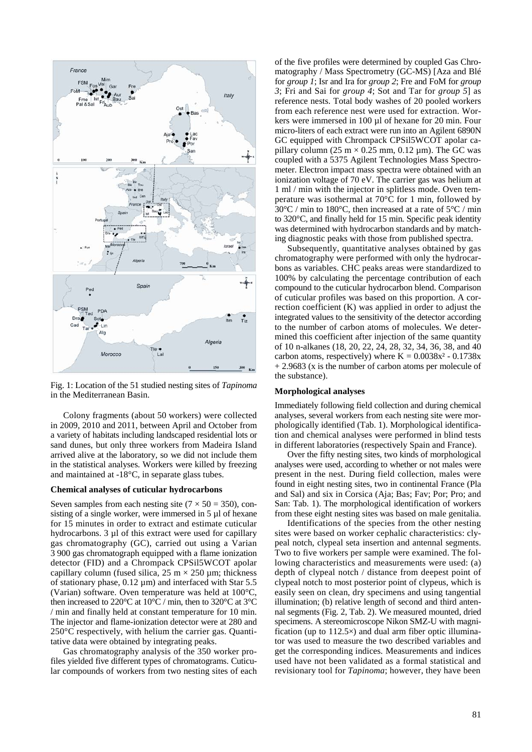

Fig. 1: Location of the 51 studied nesting sites of *Tapinoma* in the Mediterranean Basin.

Colony fragments (about 50 workers) were collected in 2009, 2010 and 2011, between April and October from a variety of habitats including landscaped residential lots or sand dunes, but only three workers from Madeira Island arrived alive at the laboratory, so we did not include them in the statistical analyses. Workers were killed by freezing and maintained at -18°C, in separate glass tubes.

#### **Chemical analyses of cuticular hydrocarbons**

Seven samples from each nesting site  $(7 \times 50 = 350)$ , consisting of a single worker, were immersed in 5 µl of hexane for 15 minutes in order to extract and estimate cuticular hydrocarbons. 3 µl of this extract were used for capillary gas chromatography (GC), carried out using a Varian 3 900 gas chromatograph equipped with a flame ionization detector (FID) and a Chrompack CPSil5WCOT apolar capillary column (fused silica,  $25 \text{ m} \times 250 \text{ µm}$ ; thickness of stationary phase,  $0.12 \mu m$ ) and interfaced with Star 5.5 (Varian) software. Oven temperature was held at 100°C, then increased to 220 $^{\circ}$ C at 10 $^{\circ}$ C / min, then to 320 $^{\circ}$ C at 3 $^{\circ}$ C / min and finally held at constant temperature for 10 min. The injector and flame-ionization detector were at 280 and 250°C respectively, with helium the carrier gas. Quantitative data were obtained by integrating peaks.

Gas chromatography analysis of the 350 worker profiles yielded five different types of chromatograms. Cuticular compounds of workers from two nesting sites of each of the five profiles were determined by coupled Gas Chromatography / Mass Spectrometry (GC-MS) [Aza and Blé for *group 1*; Isr and Ira for *group 2*; Fre and FoM for *group 3*; Fri and Sai for *group 4*; Sot and Tar for *group 5*] as reference nests. Total body washes of 20 pooled workers from each reference nest were used for extraction. Workers were immersed in 100 µl of hexane for 20 min. Four micro-liters of each extract were run into an Agilent 6890N GC equipped with Chrompack CPSil5WCOT apolar capillary column (25 m  $\times$  0.25 mm, 0.12 µm). The GC was coupled with a 5375 Agilent Technologies Mass Spectrometer. Electron impact mass spectra were obtained with an ionization voltage of 70 eV. The carrier gas was helium at 1 ml / min with the injector in splitless mode. Oven temperature was isothermal at 70°C for 1 min, followed by  $30^{\circ}$ C / min to 180°C, then increased at a rate of 5°C / min to 320°C, and finally held for 15 min. Specific peak identity was determined with hydrocarbon standards and by matching diagnostic peaks with those from published spectra.

Subsequently, quantitative analyses obtained by gas chromatography were performed with only the hydrocarbons as variables. CHC peaks areas were standardized to 100% by calculating the percentage contribution of each compound to the cuticular hydrocarbon blend. Comparison of cuticular profiles was based on this proportion. A correction coefficient (K) was applied in order to adjust the integrated values to the sensitivity of the detector according to the number of carbon atoms of molecules. We determined this coefficient after injection of the same quantity of 10 n-alkanes (18, 20, 22, 24, 28, 32, 34, 36, 38, and 40 carbon atoms, respectively) where  $K = 0.0038x^2 - 0.1738x$ + 2.9683 (x is the number of carbon atoms per molecule of the substance).

# **Morphological analyses**

Immediately following field collection and during chemical analyses, several workers from each nesting site were morphologically identified (Tab. 1). Morphological identification and chemical analyses were performed in blind tests in different laboratories (respectively Spain and France).

Over the fifty nesting sites, two kinds of morphological analyses were used, according to whether or not males were present in the nest. During field collection, males were found in eight nesting sites, two in continental France (Pla and Sal) and six in Corsica (Aja; Bas; Fav; Por; Pro; and San: Tab. 1). The morphological identification of workers from these eight nesting sites was based on male genitalia.

Identifications of the species from the other nesting sites were based on worker cephalic characteristics: clypeal notch, clypeal seta insertion and antennal segments. Two to five workers per sample were examined. The following characteristics and measurements were used: (a) depth of clypeal notch / distance from deepest point of clypeal notch to most posterior point of clypeus, which is easily seen on clean, dry specimens and using tangential illumination; (b) relative length of second and third antennal segments (Fig. 2, Tab. 2). We measured mounted, dried specimens. A stereomicroscope Nikon SMZ-U with magnification (up to  $112.5\times$ ) and dual arm fiber optic illuminator was used to measure the two described variables and get the corresponding indices. Measurements and indices used have not been validated as a formal statistical and revisionary tool for *Tapinoma*; however, they have been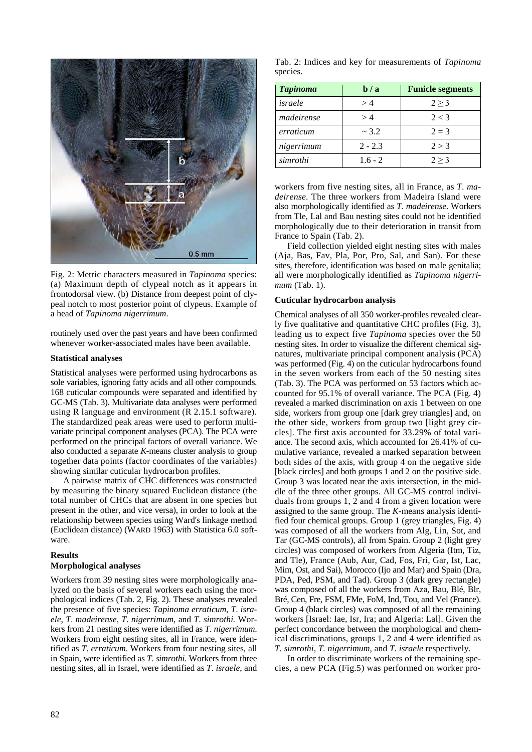

Fig. 2: Metric characters measured in *Tapinoma* species: (a) Maximum depth of clypeal notch as it appears in frontodorsal view. (b) Distance from deepest point of clypeal notch to most posterior point of clypeus. Example of a head of *Tapinoma nigerrimum*.

routinely used over the past years and have been confirmed whenever worker-associated males have been available.

## **Statistical analyses**

Statistical analyses were performed using hydrocarbons as sole variables, ignoring fatty acids and all other compounds. 168 cuticular compounds were separated and identified by GC-MS (Tab. 3). Multivariate data analyses were performed using R language and environment (R 2.15.1 software). The standardized peak areas were used to perform multivariate principal component analyses (PCA). The PCA were performed on the principal factors of overall variance. We also conducted a separate *K-*means cluster analysis to group together data points (factor coordinates of the variables) showing similar cuticular hydrocarbon profiles.

A pairwise matrix of CHC differences was constructed by measuring the binary squared Euclidean distance (the total number of CHCs that are absent in one species but present in the other, and vice versa), in order to look at the relationship between species using Ward's linkage method (Euclidean distance) (WARD 1963) with Statistica 6.0 software.

# **Results**

## **Morphological analyses**

Workers from 39 nesting sites were morphologically analyzed on the basis of several workers each using the morphological indices (Tab. 2, Fig. 2). These analyses revealed the presence of five species: *Tapinoma erraticum*, *T*. *israele*, *T*. *madeirense*, *T*. *nigerrimum*, and *T*. *simrothi.* Workers from 21 nesting sites were identified as *T*. *nigerrimum*. Workers from eight nesting sites, all in France, were identified as *T*. *erraticum.* Workers from four nesting sites, all in Spain, were identified as *T*. *simrothi*. Workers from three nesting sites, all in Israel, were identified as *T*. *israele*, and

Tab. 2: Indices and key for measurements of *Tapinoma*  species.

| Tapinoma   | $b/a$     | <b>Funicle segments</b> |
|------------|-----------|-------------------------|
| israele    | >4        | 2 > 3                   |
| madeirense | >4        | 2 < 3                   |
| erraticum  | ~2.2      | $2 = 3$                 |
| nigerrimum | $2 - 2.3$ | 2 > 3                   |
| simrothi   | $1.6 - 2$ | 2 > 3                   |

workers from five nesting sites, all in France, as *T*. *madeirense*. The three workers from Madeira Island were also morphologically identified as *T. madeirense*. Workers from Tle, Lal and Bau nesting sites could not be identified morphologically due to their deterioration in transit from France to Spain (Tab. 2).

Field collection yielded eight nesting sites with males (Aja, Bas, Fav, Pla, Por, Pro, Sal, and San). For these sites, therefore, identification was based on male genitalia; all were morphologically identified as *Tapinoma nigerrimum* (Tab. 1).

# **Cuticular hydrocarbon analysis**

Chemical analyses of all 350 worker-profiles revealed clearly five qualitative and quantitative CHC profiles (Fig. 3), leading us to expect five *Tapinoma* species over the 50 nesting sites. In order to visualize the different chemical signatures, multivariate principal component analysis (PCA) was performed (Fig. 4) on the cuticular hydrocarbons found in the seven workers from each of the 50 nesting sites (Tab. 3). The PCA was performed on 53 factors which accounted for 95.1% of overall variance. The PCA (Fig. 4) revealed a marked discrimination on axis 1 between on one side, workers from group one [dark grey triangles] and, on the other side, workers from group two [light grey circles]. The first axis accounted for 33.29% of total variance. The second axis, which accounted for 26.41% of cumulative variance, revealed a marked separation between both sides of the axis, with group 4 on the negative side [black circles] and both groups 1 and 2 on the positive side. Group 3 was located near the axis intersection, in the middle of the three other groups. All GC-MS control individuals from groups 1, 2 and 4 from a given location were assigned to the same group. The *K*-means analysis identified four chemical groups. Group 1 (grey triangles, Fig. 4) was composed of all the workers from Alg, Lin, Sot, and Tar (GC-MS controls), all from Spain. Group 2 (light grey circles) was composed of workers from Algeria (Itm, Tiz, and Tle), France (Aub, Aur, Cad, Fos, Fri, Gar, Ist, Lac, Mim, Ost, and Sai), Morocco (Ijo and Mar) and Spain (Dra, PDA, Ped, PSM, and Tad). Group 3 (dark grey rectangle) was composed of all the workers from Aza, Bau, Blé, Blr, Bré, Cen, Fre, FSM, FMe, FoM, Ind, Tou, and Vel (France). Group 4 (black circles) was composed of all the remaining workers [Israel: Iae, Isr, Ira; and Algeria: Lal]. Given the perfect concordance between the morphological and chemical discriminations, groups 1, 2 and 4 were identified as *T. simrothi*, *T. nigerrimum*, and *T. israele* respectively*.*

In order to discriminate workers of the remaining species, a new PCA (Fig.5) was performed on worker pro-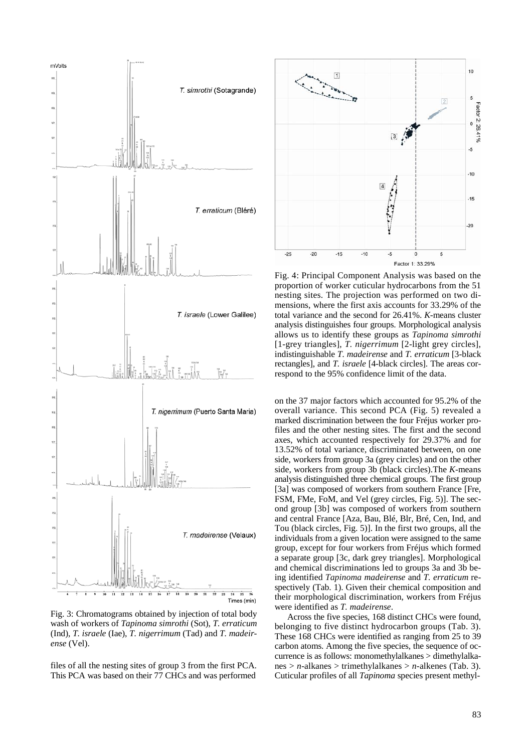

Fig. 3: Chromatograms obtained by injection of total body wash of workers of *Tapinoma simrothi* (Sot), *T. erraticum* (Ind), *T. israele* (Iae), *T. nigerrimum* (Tad) and *T. madeirense* (Vel).

files of all the nesting sites of group 3 from the first PCA. This PCA was based on their 77 CHCs and was performed



Fig. 4: Principal Component Analysis was based on the proportion of worker cuticular hydrocarbons from the 51 nesting sites. The projection was performed on two dimensions, where the first axis accounts for 33.29% of the total variance and the second for 26.41%. *K-*means cluster analysis distinguishes four groups. Morphological analysis allows us to identify these groups as *Tapinoma simrothi* [1-grey triangles], *T. nigerrimum* [2-light grey circles], indistinguishable *T. madeirense* and *T. erraticum* [3-black rectangles], and *T. israele* [4-black circles]. The areas correspond to the 95% confidence limit of the data.

on the 37 major factors which accounted for 95.2% of the overall variance. This second PCA (Fig. 5) revealed a marked discrimination between the four Fréjus worker profiles and the other nesting sites. The first and the second axes, which accounted respectively for 29.37% and for 13.52% of total variance, discriminated between, on one side, workers from group 3a (grey circles) and on the other side, workers from group 3b (black circles).The *K*-means analysis distinguished three chemical groups. The first group [3a] was composed of workers from southern France [Fre, FSM, FMe, FoM, and Vel (grey circles, Fig. 5)]. The second group [3b] was composed of workers from southern and central France [Aza, Bau, Blé, Blr, Bré, Cen, Ind, and Tou (black circles, Fig. 5)]. In the first two groups, all the individuals from a given location were assigned to the same group, except for four workers from Fréjus which formed a separate group [3c, dark grey triangles]. Morphological and chemical discriminations led to groups 3a and 3b being identified *Tapinoma madeirense* and *T. erraticum* respectively (Tab. 1). Given their chemical composition and their morphological discrimination, workers from Fréjus were identified as *T. madeirense*.

Across the five species, 168 distinct CHCs were found, belonging to five distinct hydrocarbon groups (Tab. 3). These 168 CHCs were identified as ranging from 25 to 39 carbon atoms. Among the five species, the sequence of occurrence is as follows: monomethylalkanes > dimethylalkanes > *n*-alkanes > trimethylalkanes > *n-*alkenes (Tab. 3). Cuticular profiles of all *Tapinoma* species present methyl-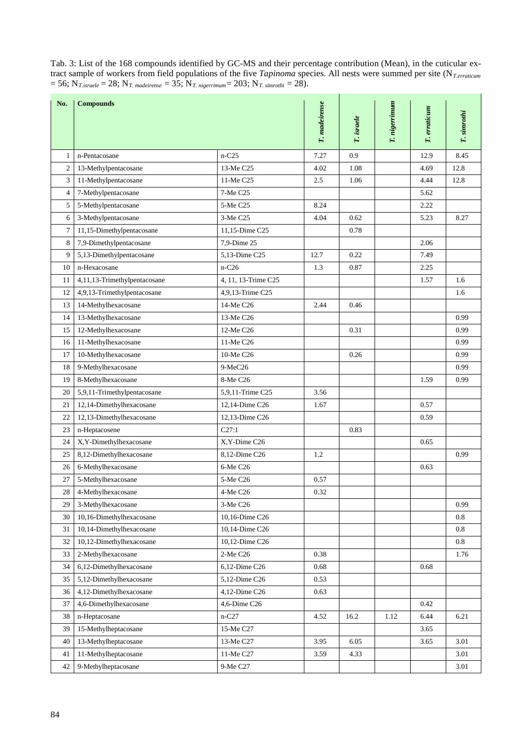| No.            | <b>Compounds</b>             |                     | T. madeirense | T. israele | T. nigerrimum | T. erraticum | T. simrothi |
|----------------|------------------------------|---------------------|---------------|------------|---------------|--------------|-------------|
|                |                              |                     |               |            |               |              |             |
| 1              | n-Pentacosane                | $n-C25$             | 7.27          | 0.9        |               | 12.9         | 8.45        |
| $\mathfrak{2}$ | 13-Methylpentacosane         | 13-Me C25           | 4.02          | 1.08       |               | 4.69         | 12.8        |
| 3              | 11-Methylpentacosane         | 11-Me C25           | 2.5           | 1.06       |               | 4.44         | 12.8        |
| $\overline{4}$ | 7-Methylpentacosane          | 7-Me C25            |               |            |               | 5.62         |             |
| 5              | 5-Methylpentacosane          | 5-Me C25            | 8.24          |            |               | 2.22         |             |
| 6              | 3-Methylpentacosane          | 3-Me C25            | 4.04          | 0.62       |               | 5.23         | 8.27        |
| $\tau$         | 11,15-Dimethylpentacosane    | 11,15-Dime C25      |               | 0.78       |               |              |             |
| 8              | 7,9-Dimethylpentacosane      | 7,9-Dime 25         |               |            |               | 2.06         |             |
| 9              | 5,13-Dimethylpentacosane     | 5,13-Dime C25       | 12.7          | 0.22       |               | 7.49         |             |
| 10             | n-Hexacosane                 | $n-C26$             | 1.3           | 0.87       |               | 2.25         |             |
| 11             | 4,11,13-Trimethylpentacosane | 4, 11, 13-Trime C25 |               |            |               | 1.57         | 1.6         |
| 12             | 4,9,13-Trimethylpentacosane  | 4,9,13-Trime C25    |               |            |               |              | 1.6         |
| 13             | 14-Methylhexacosane          | 14-Me C26           | 2.44          | 0.46       |               |              |             |
| 14             | 13-Methylhexacosane          | 13-Me C26           |               |            |               |              | 0.99        |
| 15             | 12-Methylhexacosane          | 12-Me C26           |               | 0.31       |               |              | 0.99        |
| 16             | 11-Methylhexacosane          | 11-Me C26           |               |            |               |              | 0.99        |
| 17             | 10-Methylhexacosane          | 10-Me C26           |               | 0.26       |               |              | 0.99        |
| 18             | 9-Methylhexacosane           | $9-MeC26$           |               |            |               |              | 0.99        |
| 19             | 8-Methylhexacosane           | 8-Me C26            |               |            |               | 1.59         | 0.99        |
| 20             | 5,9,11-Trimethylpentacosane  | 5,9,11-Trime C25    | 3.56          |            |               |              |             |
| 21             | 12,14-Dimethylhexacosane     | 12,14-Dime C26      | 1.67          |            |               | 0.57         |             |
| 22             | 12,13-Dimethylhexacosane     | 12,13-Dime C26      |               |            |               | 0.59         |             |
| 23             | n-Heptacosene                | C27:1               |               | 0.83       |               |              |             |
| 24             | X,Y-Dimethylhexacosane       | X, Y-Dime C26       |               |            |               | 0.65         |             |
| 25             | 8,12-Dimethylhexacosane      | 8,12-Dime C26       | 1.2           |            |               |              | 0.99        |
| 26             | 6-Methylhexacosane           | 6-Me C26            |               |            |               | 0.63         |             |
| 27             | 5-Methylhexacosane           | 5-Me C26            | 0.57          |            |               |              |             |
| 28             | 4-Methylhexacosane           | 4-Me C26            | 0.32          |            |               |              |             |
| 29             | 3-Methylhexacosane           | 3-Me C26            |               |            |               |              | 0.99        |
| 30             | 10,16-Dimethylhexacosane     | 10,16-Dime C26      |               |            |               |              | 0.8         |
| 31             | 10,14-Dimethylhexacosane     | 10,14-Dime C26      |               |            |               |              | 0.8         |
| 32             | 10,12-Dimethylhexacosane     | 10,12-Dime C26      |               |            |               |              | 0.8         |
| 33             | 2-Methylhexacosane           | 2-Me C26            | 0.38          |            |               |              | 1.76        |
| 34             | 6,12-Dimethylhexacosane      | 6,12-Dime C26       | 0.68          |            |               | 0.68         |             |
| 35             | 5,12-Dimethylhexacosane      | 5,12-Dime C26       | 0.53          |            |               |              |             |
| 36             | 4,12-Dimethylhexacosane      | 4,12-Dime C26       | 0.63          |            |               |              |             |
| 37             | 4,6-Dimethylhexacosane       | 4,6-Dime C26        |               |            |               | 0.42         |             |
| 38             | n-Heptacosane                | $n-C27$             | 4.52          | 16.2       | 1.12          | 6.44         | 6.21        |
| 39             | 15-Methylheptacosane         | 15-Me C27           |               |            |               | 3.65         |             |
| 40             | 13-Methylheptacosane         | 13-Me C27           | 3.95          | 6.05       |               | 3.65         | 3.01        |
| 41             | 11-Methylheptacosane         | 11-Me C27           | 3.59          | 4.33       |               |              | 3.01        |

42 9-Methylheptacosane 9-Me C27 3.01

Tab. 3: List of the 168 compounds identified by GC-MS and their percentage contribution (Mean), in the cuticular extract sample of workers from field populations of the five *Tapinoma* species. All nests were summed per site (N*T.erraticum*  $= 56; N_{T.israele} = 28; N_{T. madeirense} = 35; N_{T. nigerrimum} = 203; N_{T. simrothi} = 28.$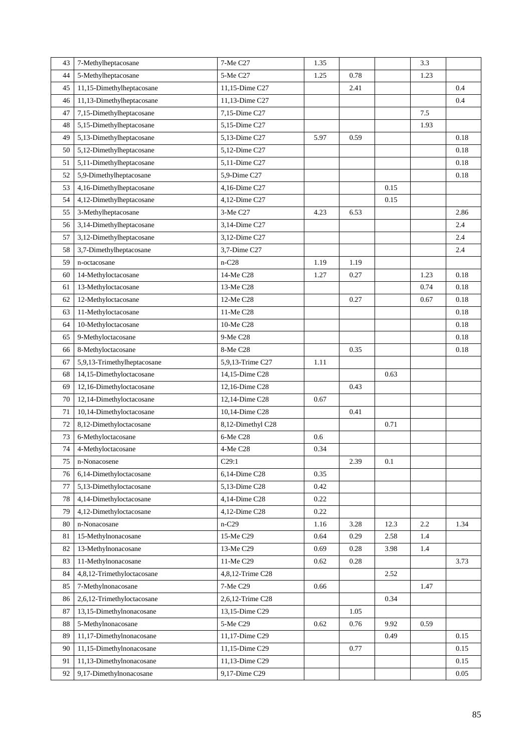| 43 | 7-Methylheptacosane         | 7-Me C27              | 1.35 |          |      | 3.3     |          |
|----|-----------------------------|-----------------------|------|----------|------|---------|----------|
| 44 | 5-Methylheptacosane         | 5-Me C27              | 1.25 | 0.78     |      | 1.23    |          |
| 45 | 11,15-Dimethylheptacosane   | 11,15-Dime C27        |      | 2.41     |      |         | 0.4      |
| 46 | 11,13-Dimethylheptacosane   | 11,13-Dime C27        |      |          |      |         | 0.4      |
| 47 | 7,15-Dimethylheptacosane    | 7,15-Dime C27         |      |          |      | $7.5\,$ |          |
| 48 | 5,15-Dimethylheptacosane    | 5,15-Dime C27         |      |          |      | 1.93    |          |
| 49 | 5,13-Dimethylheptacosane    | 5,13-Dime C27         | 5.97 | 0.59     |      |         | 0.18     |
| 50 | 5,12-Dimethylheptacosane    | 5,12-Dime C27         |      |          |      |         | $0.18\,$ |
| 51 | 5,11-Dimethylheptacosane    | 5,11-Dime C27         |      |          |      |         | 0.18     |
| 52 | 5,9-Dimethylheptacosane     | 5,9-Dime C27          |      |          |      |         | 0.18     |
| 53 | 4,16-Dimethylheptacosane    | 4,16-Dime C27         |      |          | 0.15 |         |          |
| 54 | 4,12-Dimethylheptacosane    | 4,12-Dime C27         |      |          | 0.15 |         |          |
| 55 | 3-Methylheptacosane         | 3-Me C27              | 4.23 | 6.53     |      |         | 2.86     |
| 56 | 3,14-Dimethylheptacosane    | 3,14-Dime C27         |      |          |      |         | 2.4      |
| 57 | 3,12-Dimethylheptacosane    | 3,12-Dime C27         |      |          |      |         | 2.4      |
| 58 | 3,7-Dimethylheptacosane     | 3,7-Dime C27          |      |          |      |         | 2.4      |
| 59 | n-octacosane                | $n-C28$               | 1.19 | 1.19     |      |         |          |
| 60 | 14-Methyloctacosane         | 14-Me C <sub>28</sub> | 1.27 | 0.27     |      | 1.23    | 0.18     |
| 61 | 13-Methyloctacosane         | 13-Me C28             |      |          |      | 0.74    | 0.18     |
| 62 | 12-Methyloctacosane         | 12-Me C28             |      | 0.27     |      | 0.67    | 0.18     |
| 63 | 11-Methyloctacosane         | 11-Me C28             |      |          |      |         | 0.18     |
| 64 | 10-Methyloctacosane         | 10-Me C28             |      |          |      |         | 0.18     |
| 65 | 9-Methyloctacosane          | 9-Me C28              |      |          |      |         | 0.18     |
| 66 | 8-Methyloctacosane          | 8-Me C28              |      | 0.35     |      |         | 0.18     |
| 67 | 5,9,13-Trimethylheptacosane | 5,9,13-Trime C27      | 1.11 |          |      |         |          |
| 68 | 14,15-Dimethyloctacosane    | 14,15-Dime C28        |      |          | 0.63 |         |          |
| 69 | 12,16-Dimethyloctacosane    | 12,16-Dime C28        |      | 0.43     |      |         |          |
| 70 | 12,14-Dimethyloctacosane    | 12,14-Dime C28        | 0.67 |          |      |         |          |
| 71 | 10,14-Dimethyloctacosane    | 10,14-Dime C28        |      | $0.41\,$ |      |         |          |
| 72 | 8,12-Dimethyloctacosane     | 8,12-Dimethyl C28     |      |          | 0.71 |         |          |
| 73 | 6-Methyloctacosane          | 6-Me C28              | 0.6  |          |      |         |          |
| 74 | 4-Methyloctacosane          | 4-Me C28              | 0.34 |          |      |         |          |
| 75 | n-Nonacosene                | C29:1                 |      | 2.39     | 0.1  |         |          |
| 76 | 6,14-Dimethyloctacosane     | 6,14-Dime C28         | 0.35 |          |      |         |          |
| 77 | 5,13-Dimethyloctacosane     | 5,13-Dime C28         | 0.42 |          |      |         |          |
| 78 | 4,14-Dimethyloctacosane     | 4,14-Dime C28         | 0.22 |          |      |         |          |
| 79 | 4,12-Dimethyloctacosane     | 4,12-Dime C28         | 0.22 |          |      |         |          |
| 80 | n-Nonacosane                | $n-C29$               | 1.16 | 3.28     | 12.3 | $2.2\,$ | 1.34     |
| 81 | 15-Methylnonacosane         | 15-Me C29             | 0.64 | 0.29     | 2.58 | 1.4     |          |
| 82 | 13-Methylnonacosane         | 13-Me C29             | 0.69 | 0.28     | 3.98 | 1.4     |          |
| 83 | 11-Methylnonacosane         | 11-Me C29             | 0.62 | 0.28     |      |         | 3.73     |
| 84 | 4,8,12-Trimethyloctacosane  | 4,8,12-Trime C28      |      |          | 2.52 |         |          |
| 85 | 7-Methylnonacosane          | 7-Me C29              | 0.66 |          |      | 1.47    |          |
| 86 | 2,6,12-Trimethyloctacosane  | 2,6,12-Trime C28      |      |          | 0.34 |         |          |
| 87 | 13,15-Dimethylnonacosane    | 13,15-Dime C29        |      | 1.05     |      |         |          |
| 88 | 5-Methylnonacosane          | 5-Me C29              | 0.62 | 0.76     | 9.92 | 0.59    |          |
| 89 | 11,17-Dimethylnonacosane    | 11,17-Dime C29        |      |          | 0.49 |         | 0.15     |
| 90 | 11,15-Dimethylnonacosane    | 11,15-Dime C29        |      | 0.77     |      |         | 0.15     |
| 91 | 11,13-Dimethylnonacosane    | 11,13-Dime C29        |      |          |      |         | 0.15     |
| 92 | 9,17-Dimethylnonacosane     | 9,17-Dime C29         |      |          |      |         | 0.05     |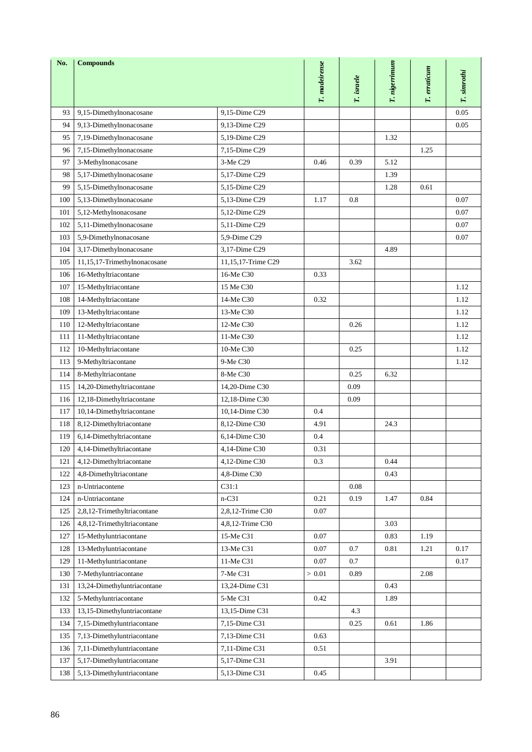| No. | <b>Compounds</b>             |                    |               |            |               |              |             |
|-----|------------------------------|--------------------|---------------|------------|---------------|--------------|-------------|
|     |                              |                    | T. madeirense |            | T. nigerrimum | T. erraticum | T. simrothi |
|     |                              |                    |               | T. israele |               |              |             |
|     |                              |                    |               |            |               |              |             |
| 93  | 9,15-Dimethylnonacosane      | 9.15-Dime C29      |               |            |               |              | 0.05        |
| 94  | 9,13-Dimethylnonacosane      | 9,13-Dime C29      |               |            |               |              | 0.05        |
| 95  | 7,19-Dimethylnonacosane      | 5,19-Dime C29      |               |            | 1.32          |              |             |
| 96  | 7,15-Dimethylnonacosane      | 7,15-Dime C29      |               |            |               | 1.25         |             |
| 97  | 3-Methylnonacosane           | 3-Me C29           | 0.46          | 0.39       | 5.12          |              |             |
| 98  | 5,17-Dimethylnonacosane      | 5,17-Dime C29      |               |            | 1.39          |              |             |
| 99  | 5,15-Dimethylnonacosane      | 5,15-Dime C29      |               |            | 1.28          | 0.61         |             |
| 100 | 5,13-Dimethylnonacosane      | 5,13-Dime C29      | 1.17          | 0.8        |               |              | 0.07        |
| 101 | 5,12-Methylnonacosane        | 5,12-Dime C29      |               |            |               |              | 0.07        |
| 102 | 5,11-Dimethylnonacosane      | 5,11-Dime C29      |               |            |               |              | 0.07        |
| 103 | 5,9-Dimethylnonacosane       | 5,9-Dime C29       |               |            |               |              | $0.07\,$    |
| 104 | 3,17-Dimethylnonacosane      | 3,17-Dime C29      |               |            | 4.89          |              |             |
| 105 | 11,15,17-Trimethylnonacosane | 11,15,17-Trime C29 |               | 3.62       |               |              |             |
| 106 | 16-Methyltriacontane         | 16-Me C30          | 0.33          |            |               |              |             |
| 107 | 15-Methyltriacontane         | 15 Me C30          |               |            |               |              | 1.12        |
| 108 | 14-Methyltriacontane         | 14-Me C30          | 0.32          |            |               |              | 1.12        |
| 109 | 13-Methyltriacontane         | 13-Me C30          |               |            |               |              | 1.12        |
| 110 | 12-Methyltriacontane         | 12-Me C30          |               | 0.26       |               |              | 1.12        |
| 111 | 11-Methyltriacontane         | 11-Me C30          |               |            |               |              | 1.12        |
| 112 | 10-Methyltriacontane         | 10-Me C30          |               | 0.25       |               |              | 1.12        |
| 113 | 9-Methyltriacontane          | 9-Me C30           |               |            |               |              | 1.12        |
| 114 | 8-Methyltriacontane          | 8-Me C30           |               | 0.25       | 6.32          |              |             |
| 115 | 14,20-Dimethyltriacontane    | 14,20-Dime C30     |               | 0.09       |               |              |             |
| 116 | 12,18-Dimethyltriacontane    | 12,18-Dime C30     |               | 0.09       |               |              |             |
| 117 | 10,14-Dimethyltriacontane    | 10,14-Dime C30     | 0.4           |            |               |              |             |
| 118 | 8,12-Dimethyltriacontane     | 8,12-Dime C30      | 4.91          |            | 24.3          |              |             |
| 119 | 6,14-Dimethyltriacontane     | 6,14-Dime C30      | 0.4           |            |               |              |             |
| 120 | 4,14-Dimethyltriacontane     | 4,14-Dime C30      | 0.31          |            |               |              |             |
| 121 | 4,12-Dimethyltriacontane     | 4,12-Dime C30      | 0.3           |            | 0.44          |              |             |
| 122 | 4,8-Dimethyltriacontane      | 4,8-Dime C30       |               |            | 0.43          |              |             |
| 123 | n-Untriacontene              | C31:1              |               | 0.08       |               |              |             |
| 124 | n-Untriacontane              | $n-C31$            | 0.21          | 0.19       | 1.47          | 0.84         |             |
| 125 | 2,8,12-Trimethyltriacontane  | 2,8,12-Trime C30   | 0.07          |            |               |              |             |
| 126 | 4,8,12-Trimethyltriacontane  | 4,8,12-Trime C30   |               |            | 3.03          |              |             |
| 127 | 15-Methyluntriacontane       | 15-Me C31          | 0.07          |            | 0.83          | 1.19         |             |
| 128 | 13-Methyluntriacontane       | 13-Me C31          | 0.07          | 0.7        | 0.81          | 1.21         | 0.17        |
| 129 | 11-Methyluntriacontane       | 11-Me C31          | 0.07          | 0.7        |               |              | 0.17        |
| 130 | 7-Methyluntriacontane        | 7-Me C31           | > 0.01        | 0.89       |               | 2.08         |             |
| 131 | 13,24-Dimethyluntriacontane  | 13,24-Dime C31     |               |            | 0.43          |              |             |
| 132 | 5-Methyluntriacontane        | 5-Me C31           | 0.42          |            | 1.89          |              |             |
| 133 | 13,15-Dimethyluntriacontane  | 13,15-Dime C31     |               | 4.3        |               |              |             |
| 134 | 7,15-Dimethyluntriacontane   | 7,15-Dime C31      |               | 0.25       | 0.61          | 1.86         |             |
| 135 | 7,13-Dimethyluntriacontane   | 7,13-Dime C31      | 0.63          |            |               |              |             |
| 136 | 7,11-Dimethyluntriacontane   | 7,11-Dime C31      | 0.51          |            |               |              |             |
| 137 | 5,17-Dimethyluntriacontane   | 5,17-Dime C31      |               |            | 3.91          |              |             |
| 138 | 5,13-Dimethyluntriacontane   | 5,13-Dime C31      | 0.45          |            |               |              |             |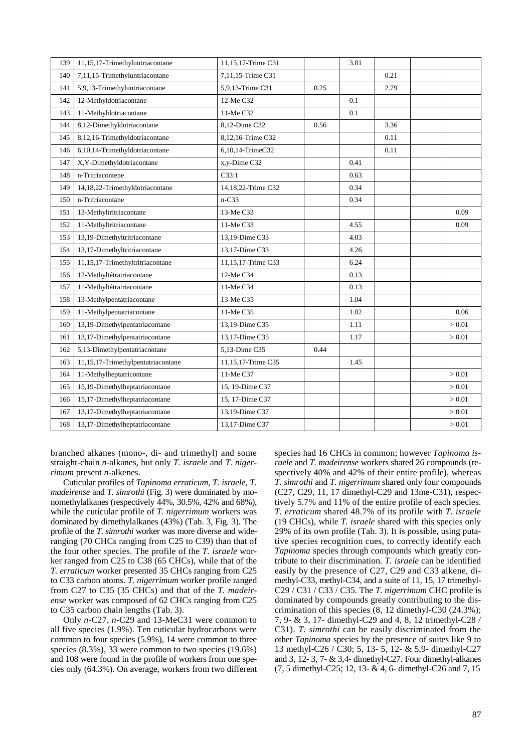| 139 | 11,15,17-Trimethyluntriacontane    | 11,15,17-Trime C31 |      | 3.81 |      |        |
|-----|------------------------------------|--------------------|------|------|------|--------|
| 140 | 7,11,15-Trimethyluntriacontane     | 7,11,15-Trime C31  |      |      | 0.21 |        |
| 141 | 5,9,13-Trimethyluntriacontane      | 5,9,13-Trime C31   | 0.25 |      | 2.79 |        |
| 142 | 12-Methyldotriacontane             | 12-Me C32          |      | 0.1  |      |        |
| 143 | 11-Methyldotriacontane             | 11-Me C32          |      | 0.1  |      |        |
| 144 | 8,12-Dimethyldotriacontane         | 8,12-Dime C32      | 0.56 |      | 3.36 |        |
| 145 | 8,12,16-Trimethyldotriacontane     | 8,12,16-Trime C32  |      |      | 0.11 |        |
| 146 | 6,10,14-Trimethyldotriacontane     | 6,10,14-TrimeC32   |      |      | 0.11 |        |
| 147 | X,Y-Dimethyldotriacontane          | x,y-Dime C32       |      | 0.41 |      |        |
| 148 | n-Tritriacontene                   | C33:1              |      | 0.63 |      |        |
| 149 | 14,18,22-Trimethyldotriacontane    | 14,18,22-Trime C32 |      | 0.34 |      |        |
| 150 | n-Tritriacontane                   | $n-C33$            |      | 0.34 |      |        |
| 151 | 13-Methyltritriacontane            | 13-Me C33          |      |      |      | 0.09   |
| 152 | 11-Methyltritriacontane            | 11-Me C33          |      | 4.55 |      | 0.09   |
| 153 | 13,19-Dimethyltritriacontane       | 13,19-Dime C33     |      | 4.03 |      |        |
| 154 | 13,17-Dimethyltritriacontane       | 13.17-Dime C33     |      | 4.26 |      |        |
| 155 | 11,15,17-Trimethyltritriacontane   | 11,15,17-Trime C33 |      | 6.24 |      |        |
| 156 | 12-Methyltétratriacontane          | 12-Me C34          |      | 0.13 |      |        |
| 157 | 11-Methyltétratriacontane          | 11-Me C34          |      | 0.13 |      |        |
| 158 | 13-Methylpentatriacontane          | 13-Me C35          |      | 1.04 |      |        |
| 159 | 11-Methylpentatriacontane          | 11-Me C35          |      | 1.02 |      | 0.06   |
| 160 | 13,19-Dimethylpentatriacontane     | 13,19-Dime C35     |      | 1.11 |      | > 0.01 |
| 161 | 13,17-Dimethylpentatriacontane     | 13,17-Dime C35     |      | 1.17 |      | > 0.01 |
| 162 | 5,13-Dimethylpentatriacontane      | 5,13-Dime C35      | 0.44 |      |      |        |
| 163 | 11,15,17-Trimethylpentatriacontane | 11,15,17-Trime C35 |      | 1.45 |      |        |
| 164 | 11-Methylheptatricontane           | 11-Me C37          |      |      |      | > 0.01 |
| 165 | 15,19-Dimethylheptatriacontane     | 15, 19-Dime C37    |      |      |      | > 0.01 |
| 166 | 15,17-Dimethylheptatriacontane     | 15, 17-Dime C37    |      |      |      | > 0.01 |
| 167 | 13,17-Dimethylheptatriacontane     | 13,19-Dime C37     |      |      |      | > 0.01 |
| 168 | 13,17-Dimethylheptatriacontane     | 13,17-Dime C37     |      |      |      | > 0.01 |

branched alkanes (mono-, di- and trimethyl) and some straight-chain *n*-alkanes, but only *T. israele* and *T. nigerrimum* present *n*-alkenes.

Cuticular profiles of *Tapinoma erraticum*, *T. israele*, *T. madeirense* and *T. simrothi* (Fig. 3) were dominated by monomethylalkanes (respectively 44%, 30.5%, 42% and 68%), while the cuticular profile of *T. nigerrimum* workers was dominated by dimethylalkanes (43%) (Tab. 3, Fig. 3). The profile of the *T. simrothi* worker was more diverse and wideranging (70 CHCs ranging from C25 to C39) than that of the four other species. The profile of the *T. israele* worker ranged from C25 to C38 (65 CHCs), while that of the *T. erraticum* worker presented 35 CHCs ranging from C25 to C33 carbon atoms. *T. nigerrimum* worker profile ranged from C27 to C35 (35 CHCs) and that of the *T. madeirense* worker was composed of 62 CHCs ranging from C25 to C35 carbon chain lengths (Tab. 3).

Only *n*-C27, *n*-C29 and 13-MeC31 were common to all five species (1.9%). Ten cuticular hydrocarbons were common to four species (5.9%), 14 were common to three species (8.3%), 33 were common to two species (19.6%) and 108 were found in the profile of workers from one species only (64.3%). On average, workers from two different

species had 16 CHCs in common; however *Tapinoma israele* and *T. madeirense* workers shared 26 compounds (respectively 40% and 42% of their entire profile), whereas *T. simrothi* and *T. nigerrimum* shared only four compounds (C27, C29, 11, 17 dimethyl-C29 and 13me-C31), respectively 5.7% and 11% of the entire profile of each species. *T. erraticum* shared 48.7% of its profile with *T. israele* (19 CHCs), while *T. israele* shared with this species only 29% of its own profile (Tab. 3). It is possible, using putative species recognition cues, to correctly identify each *Tapinoma* species through compounds which greatly contribute to their discrimination. *T. israele* can be identified easily by the presence of C27, C29 and C33 alkene, dimethyl-C33, methyl-C34, and a suite of 11, 15, 17 trimethyl-C29 / C31 / C33 / C35. The *T. nigerrimum* CHC profile is dominated by compounds greatly contributing to the discrimination of this species (8, 12 dimethyl-C30 (24.3%); 7, 9- & 3, 17- dimethyl-C29 and 4, 8, 12 trimethyl-C28 / C31). *T. simrothi* can be easily discriminated from the other *Tapinoma* species by the presence of suites like 9 to 13 methyl-C26 / C30; 5, 13- 5, 12- & 5,9- dimethyl-C27 and 3, 12- 3, 7- & 3,4- dimethyl-C27. Four dimethyl-alkanes (7, 5 dimethyl-C25; 12, 13- & 4, 6- dimethyl-C26 and 7, 15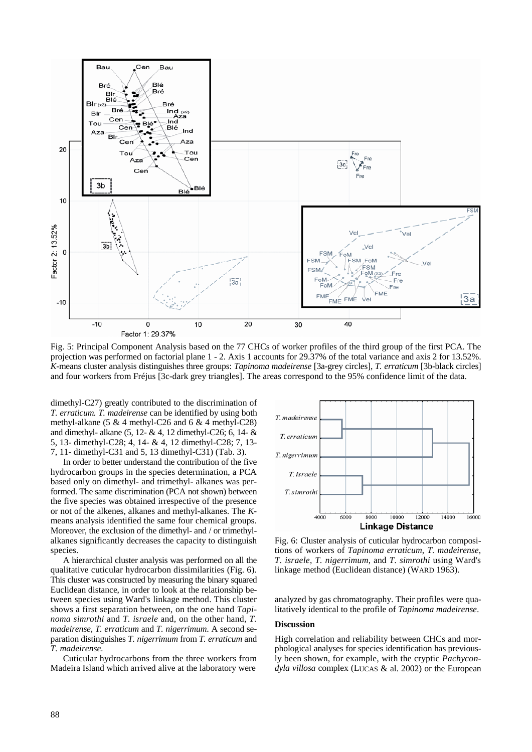

Fig. 5: Principal Component Analysis based on the 77 CHCs of worker profiles of the third group of the first PCA. The projection was performed on factorial plane 1 - 2. Axis 1 accounts for 29.37% of the total variance and axis 2 for 13.52%. *K-*means cluster analysis distinguishes three groups: *Tapinoma madeirense* [3a-grey circles], *T. erraticum* [3b-black circles] and four workers from Fréjus [3c-dark grey triangles]. The areas correspond to the 95% confidence limit of the data.

dimethyl-C27) greatly contributed to the discrimination of *T. erraticum. T. madeirense* can be identified by using both methyl-alkane (5 & 4 methyl-C26 and 6 & 4 methyl-C28) and dimethyl- alkane (5, 12- & 4, 12 dimethyl-C26; 6, 14- & 5, 13- dimethyl-C28; 4, 14- & 4, 12 dimethyl-C28; 7, 13- 7, 11- dimethyl-C31 and 5, 13 dimethyl-C31) (Tab. 3).

In order to better understand the contribution of the five hydrocarbon groups in the species determination, a PCA based only on dimethyl- and trimethyl- alkanes was performed. The same discrimination (PCA not shown) between the five species was obtained irrespective of the presence or not of the alkenes, alkanes and methyl-alkanes. The *K*means analysis identified the same four chemical groups. Moreover, the exclusion of the dimethyl- and / or trimethylalkanes significantly decreases the capacity to distinguish species.

A hierarchical cluster analysis was performed on all the qualitative cuticular hydrocarbon dissimilarities (Fig. 6). This cluster was constructed by measuring the binary squared Euclidean distance, in order to look at the relationship between species using Ward's linkage method. This cluster shows a first separation between, on the one hand *Tapinoma simrothi* and *T. israele* and, on the other hand, *T. madeirense*, *T. erraticum* and *T. nigerrimum*. A second separation distinguishes *T. nigerrimum* from *T. erraticum* and *T. madeirense.*

Cuticular hydrocarbons from the three workers from Madeira Island which arrived alive at the laboratory were



Fig. 6: Cluster analysis of cuticular hydrocarbon compositions of workers of *Tapinoma erraticum*, *T. madeirense*, *T. israele*, *T. nigerrimum*, and *T. simrothi* using Ward's linkage method (Euclidean distance) (WARD 1963).

analyzed by gas chromatography. Their profiles were qualitatively identical to the profile of *Tapinoma madeirense*.

# **Discussion**

High correlation and reliability between CHCs and morphological analyses for species identification has previously been shown, for example, with the cryptic *Pachycondyla villosa* complex (LUCAS & al. 2002) or the European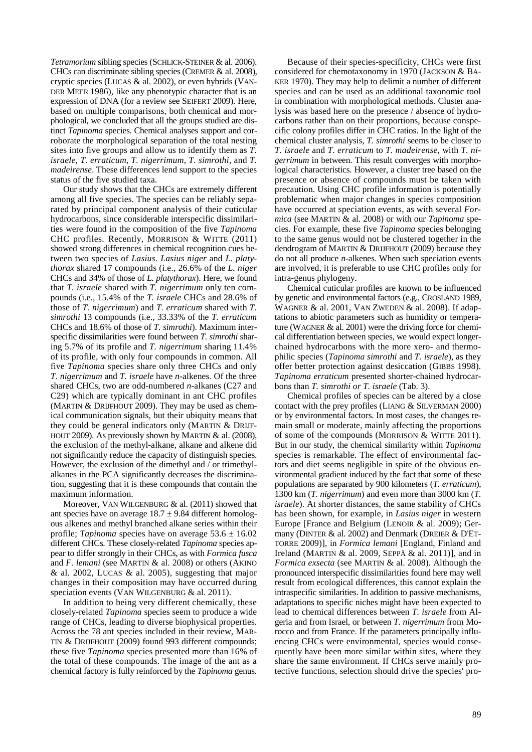*Tetramorium* sibling species (SCHLICK-STEINER & al. 2006). CHCs can discriminate sibling species (CREMER & al. 2008), cryptic species (LUCAS & al. 2002), or even hybrids (VAN-DER MEER 1986), like any phenotypic character that is an expression of DNA (for a review see SEIFERT 2009). Here, based on multiple comparisons, both chemical and morphological, we concluded that all the groups studied are distinct *Tapinoma* species. Chemical analyses support and corroborate the morphological separation of the total nesting sites into five groups and allow us to identify them as *T. israele*, *T. erraticum*, *T. nigerrimum*, *T. simrothi*, and *T. madeirense*. These differences lend support to the species status of the five studied taxa.

Our study shows that the CHCs are extremely different among all five species. The species can be reliably separated by principal component analysis of their cuticular hydrocarbons, since considerable interspecific dissimilarities were found in the composition of the five *Tapinoma* CHC profiles. Recently, MORRISON & WITTE (2011) showed strong differences in chemical recognition cues between two species of *Lasius*. *Lasius niger* and *L. platythorax* shared 17 compounds (i.e., 26.6% of the *L. niger* CHCs and 34% of those of *L. platythorax*). Here, we found that *T. israele* shared with *T. nigerrimum* only ten compounds (i.e., 15.4% of the *T. israele* CHCs and 28.6% of those of *T. nigerrimum*) and *T. erraticum* shared with *T. simrothi* 13 compounds (i.e., 33.33% of the *T. erraticum*  CHCs and 18.6% of those of *T. simrothi*). Maximum interspecific dissimilarities were found between *T. simrothi* sharing 5.7% of its profile and *T. nigerrimum* sharing 11.4% of its profile, with only four compounds in common*.* All five *Tapinoma* species share only three CHCs and only *T. nigerrimum* and *T. israele* have *n-*alkenes. Of the three shared CHCs, two are odd-numbered *n*-alkanes (C27 and C29) which are typically dominant in ant CHC profiles (MARTIN & DRIJFHOUT 2009). They may be used as chemical communication signals, but their ubiquity means that they could be general indicators only (MARTIN & DRIJF-HOUT 2009). As previously shown by MARTIN  $&$  al. (2008), the exclusion of the methyl-alkane, alkane and alkene did not significantly reduce the capacity of distinguish species. However, the exclusion of the dimethyl and / or trimethylalkanes in the PCA significantly decreases the discrimination, suggesting that it is these compounds that contain the maximum information.

Moreover, VAN WILGENBURG & al. (2011) showed that ant species have on average  $18.7 \pm 9.84$  different homologous alkenes and methyl branched alkane series within their profile; *Tapinoma* species have on average  $53.6 \pm 16.02$ different CHCs. These closely-related *Tapinoma* species appear to differ strongly in their CHCs, as with *Formica fusca* and *F. lemani* (see MARTIN & al. 2008) or others (AKINO  $&$  al. 2002, LUCAS  $&$  al. 2005), suggesting that major changes in their composition may have occurred during speciation events (VAN WILGENBURG & al. 2011).

In addition to being very different chemically, these closely-related *Tapinoma* species seem to produce a wide range of CHCs, leading to diverse biophysical properties. Across the 78 ant species included in their review, MAR-TIN & DRIJFHOUT (2009) found 993 different compounds; these five *Tapinoma* species presented more than 16% of the total of these compounds. The image of the ant as a chemical factory is fully reinforced by the *Tapinoma* genus.

Because of their species-specificity, CHCs were first considered for chemotaxonomy in 1970 (JACKSON & BA-KER 1970). They may help to delimit a number of different species and can be used as an additional taxonomic tool in combination with morphological methods. Cluster analysis was based here on the presence / absence of hydrocarbons rather than on their proportions, because conspecific colony profiles differ in CHC ratios. In the light of the chemical cluster analysis, *T. simrothi* seems to be closer to *T. israele* and *T. erraticum* to *T. madeirense*, with *T. nigerrimum* in between. This result converges with morphological characteristics. However, a cluster tree based on the presence or absence of compounds must be taken with precaution. Using CHC profile information is potentially problematic when major changes in species composition have occurred at speciation events, as with several *Formica* (see MARTIN & al. 2008) or with our *Tapinoma* species. For example, these five *Tapinoma* species belonging to the same genus would not be clustered together in the dendrogram of MARTIN & DRIJFHOUT (2009) because they do not all produce *n-*alkenes. When such speciation events are involved, it is preferable to use CHC profiles only for intra-genus phylogeny.

Chemical cuticular profiles are known to be influenced by genetic and environmental factors (e.g., CROSLAND 1989, WAGNER & al. 2001, VAN ZWEDEN & al. 2008). If adaptations to abiotic parameters such as humidity or temperature (WAGNER & al. 2001) were the driving force for chemical differentiation between species, we would expect longerchained hydrocarbons with the more xero- and thermophilic species (*Tapinoma simrothi* and *T. israele*), as they offer better protection against desiccation (GIBBS 1998). *Tapinoma erraticum* presented shorter-chained hydrocarbons than *T. simrothi or T. israele* (Tab. 3).

Chemical profiles of species can be altered by a close contact with the prey profiles (LIANG & SILVERMAN 2000) or by environmental factors. In most cases, the changes remain small or moderate, mainly affecting the proportions of some of the compounds (MORRISON & WITTE 2011). But in our study, the chemical similarity within *Tapinoma* species is remarkable. The effect of environmental factors and diet seems negligible in spite of the obvious environmental gradient induced by the fact that some of these populations are separated by 900 kilometers (*T. erraticum*), 1300 km (*T. nigerrimum*) and even more than 3000 km (*T. israele*). At shorter distances, the same stability of CHCs has been shown, for example, in *Lasius niger* in western Europe [France and Belgium (LENOIR & al. 2009); Germany (DINTER & al. 2002) and Denmark (DREIER & D'ET-TORRE 2009)], in *Formica lemani* [England, Finland and Ireland (MARTIN & al. 2009, SEPPÄ & al. 2011)], and in *Formica exsecta* (see MARTIN & al. 2008). Although the pronounced interspecific dissimilarities found here may well result from ecological differences, this cannot explain the intraspecific similarities. In addition to passive mechanisms, adaptations to specific niches might have been expected to lead to chemical differences between *T. israele* from Algeria and from Israel, or between *T. nigerrimum* from Morocco and from France. If the parameters principally influencing CHCs were environmental, species would consequently have been more similar within sites, where they share the same environment. If CHCs serve mainly protective functions, selection should drive the species' pro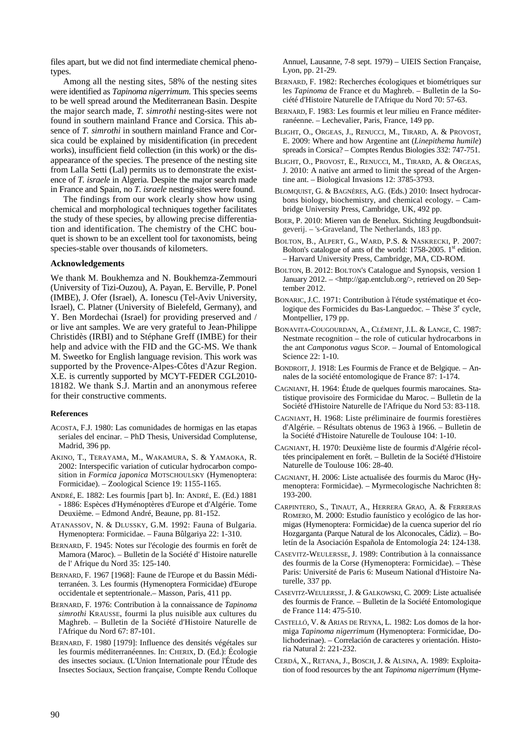files apart, but we did not find intermediate chemical phenotypes.

Among all the nesting sites, 58% of the nesting sites were identified as *Tapinoma nigerrimum*. This species seems to be well spread around the Mediterranean Basin. Despite the major search made, *T. simrothi* nesting-sites were not found in southern mainland France and Corsica. This absence of *T. simrothi* in southern mainland France and Corsica could be explained by misidentification (in precedent works), insufficient field collection (in this work) or the disappearance of the species. The presence of the nesting site from Lalla Setti (Lal) permits us to demonstrate the existence of *T. israele* in Algeria. Despite the major search made in France and Spain, no *T. israele* nesting-sites were found.

The findings from our work clearly show how using chemical and morphological techniques together facilitates the study of these species, by allowing precise differentiation and identification. The chemistry of the CHC bouquet is shown to be an excellent tool for taxonomists, being species-stable over thousands of kilometers.

#### **Acknowledgements**

We thank M. Boukhemza and N. Boukhemza-Zemmouri (University of Tizi-Ouzou), A. Payan, E. Berville, P. Ponel (IMBE), J. Ofer (Israel), A. Ionescu (Tel-Aviv University, Israel), C. Platner (University of Bielefeld, Germany), and Y. Ben Mordechai (Israel) for providing preserved and / or live ant samples. We are very grateful to Jean-Philippe Christidès (IRBI) and to Stéphane Greff (IMBE) for their help and advice with the FID and the GC-MS. We thank M. Sweetko for English language revision. This work was supported by the Provence-Alpes-Côtes d'Azur Region. X.E. is currently supported by MCYT-FEDER CGL2010- 18182. We thank S.J. Martin and an anonymous referee for their constructive comments.

#### **References**

- ACOSTA, F.J. 1980: Las comunidades de hormigas en las etapas seriales del encinar. – PhD Thesis, Universidad Complutense, Madrid, 396 pp.
- AKINO, T., TERAYAMA, M., WAKAMURA, S. & YAMAOKA, R. 2002: Interspecific variation of cuticular hydrocarbon composition in *Formica japonica* MOTSCHOULSKY (Hymenoptera: Formicidae). – Zoological Science 19: 1155-1165.
- ANDRÉ, E. 1882: Les fourmis [part b]. In: ANDRÉ, E. (Ed.) 1881 - 1886: Espèces d'Hyménoptères d'Europe et d'Algérie. Tome Deuxième. – Edmond André, Beaune, pp. 81-152.
- ATANASSOV, N. & DLUSSKY, G.M. 1992: Fauna of Bulgaria. Hymenoptera: Formicidae. – Fauna Bûlgariya 22: 1-310.
- BERNARD, F. 1945: Notes sur l'écologie des fourmis en forêt de Mamora (Maroc). – Bulletin de la Société d' Histoire naturelle de l' Afrique du Nord 35: 125-140.
- BERNARD, F. 1967 [1968]: Faune de l'Europe et du Bassin Méditerranéen. 3. Les fourmis (Hymenoptera Formicidae) d'Europe occidentale et septentrionale.– Masson, Paris, 411 pp.
- BERNARD, F. 1976: Contribution à la connaissance de *Tapinoma simrothi* KRAUSSE, fourmi la plus nuisible aux cultures du Maghreb. – Bulletin de la Société d'Histoire Naturelle de l'Afrique du Nord 67: 87-101.
- BERNARD, F. 1980 [1979]: Influence des densités végétales sur les fourmis méditerranéennes. In: CHERIX, D. (Ed.): Écologie des insectes sociaux. (L'Union Internationale pour l'Étude des Insectes Sociaux, Section française, Compte Rendu Colloque

Annuel, Lausanne, 7-8 sept. 1979) – UIEIS Section Française, Lyon, pp. 21-29.

- BERNARD, F. 1982: Recherches écologiques et biométriques sur les *Tapinoma* de France et du Maghreb. – Bulletin de la Société d'Histoire Naturelle de l'Afrique du Nord 70: 57-63.
- BERNARD, F. 1983: Les fourmis et leur milieu en France méditerranéenne. – Lechevalier, Paris, France, 149 pp.
- BLIGHT, O., ORGEAS, J., RENUCCI, M., TIRARD, A. & PROVOST, E. 2009: Where and how Argentine ant (*Linepithema humile*) spreads in Corsica? – Comptes Rendus Biologies 332: 747-751.
- BLIGHT, O., PROVOST, E., RENUCCI, M., TIRARD, A. & ORGEAS, J. 2010: A native ant armed to limit the spread of the Argentine ant. – Biological Invasions 12: 3785-3793.
- BLOMQUIST, G. & BAGNÈRES, A.G. (Eds.) 2010: Insect hydrocarbons biology, biochemistry, and chemical ecology. – Cambridge University Press, Cambridge, UK, 492 pp.
- BOER, P. 2010: Mieren van de Benelux. Stichting Jeugdbondsuitgeverij. – 's-Graveland, The Netherlands, 183 pp.
- BOLTON, B., ALPERT, G., WARD, P.S. & NASKRECKI, P. 2007: Bolton's catalogue of ants of the world:  $1758-2005$ . 1<sup>st</sup> edition. – Harvard University Press, Cambridge, MA, CD-ROM.
- BOLTON, B. 2012: BOLTON's Catalogue and Synopsis, version 1 January 2012. – <http://gap.entclub.org/>, retrieved on 20 September 2012.
- BONARIC, J.C. 1971: Contribution à l'étude systématique et écologique des Formicides du Bas-Languedoc. – Thèse  $3^e$  cycle, Montpellier, 179 pp.
- BONAVITA-COUGOURDAN, A., CLÉMENT, J.L. & LANGE, C. 1987: Nestmate recognition – the role of cuticular hydrocarbons in the ant *Camponotus vagus* SCOP. – Journal of Entomological Science 22: 1-10.
- BONDROIT, J. 1918: Les Fourmis de France et de Belgique. Annales de la société entomologique de France 87: 1-174.
- CAGNIANT, H. 1964: Étude de quelques fourmis marocaines. Statistique provisoire des Formicidae du Maroc. – Bulletin de la Société d'Histoire Naturelle de l'Afrique du Nord 53: 83-118.
- CAGNIANT, H. 1968: Liste préliminaire de fourmis forestières d'Algérie. – Résultats obtenus de 1963 à 1966. – Bulletin de la Société d'Histoire Naturelle de Toulouse 104: 1-10.
- CAGNIANT, H. 1970: Deuxième liste de fourmis d'Algérie récoltées principalement en forêt. – Bulletin de la Société d'Histoire Naturelle de Toulouse 106: 28-40.
- CAGNIANT, H. 2006: Liste actualisée des fourmis du Maroc (Hymenoptera: Formicidae). – Myrmecologische Nachrichten 8: 193-200.
- CARPINTERO, S., TINAUT, A., HERRERA GRAO, A. & FERRERAS ROMERO, M. 2000: Estudio faunístico y ecológico de las hormigas (Hymenoptera: Formicidae) de la cuenca superior del río Hozgarganta (Parque Natural de los Alconocales, Cádiz). – Boletín de la Asociación Española de Entomología 24: 124-138.
- CASEVITZ-WEULERSSE, J. 1989: Contribution à la connaissance des fourmis de la Corse (Hymenoptera: Formicidae). – Thèse Paris: Université de Paris 6: Museum National d'Histoire Naturelle, 337 pp.
- CASEVITZ-WEULERSSE, J. & GALKOWSKI, C. 2009: Liste actualisée des fourmis de France. – Bulletin de la Société Entomologique de France 114: 475-510.
- CASTELLÓ, V. & ARIAS DE REYNA, L. 1982: Los domos de la hormiga *Tapinoma nigerrimum* (Hymenoptera: Formicidae, Dolichoderinae). – Correlación de caracteres y orientación. Historia Natural 2: 221-232.
- CERDÁ, X., RETANA, J., BOSCH, J. & ALSINA, A. 1989: Exploitation of food resources by the ant *Tapinoma nigerrimum* (Hyme-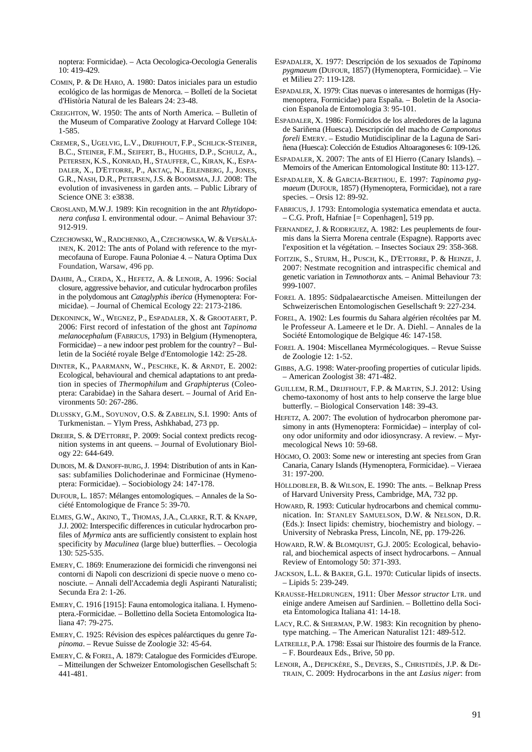noptera: Formicidae). – Acta Oecologica-Oecologia Generalis 10: 419-429.

- COMIN, P. & DE HARO, A. 1980: Datos iniciales para un estudio ecológico de las hormigas de Menorca. – Bolletí de la Societat d'Història Natural de les Balears 24: 23-48.
- CREIGHTON, W. 1950: The ants of North America. Bulletin of the Museum of Comparative Zoology at Harvard College 104: 1-585.
- CREMER, S., UGELVIG, L.V., DRIJFHOUT, F.P., SCHLICK-STEINER, B.C., STEINER, F.M., SEIFERT, B., HUGHES, D.P., SCHULZ, A., PETERSEN, K.S., KONRAD, H., STAUFFER, C., KIRAN, K., ESPA-DALER, X., D'ETTORRE, P., AKTAÇ, N., EILENBERG, J., JONES, G.R., NASH, D.R., PETERSEN, J.S. & BOOMSMA, J.J. 2008: The evolution of invasiveness in garden ants. – Public Library of Science ONE 3: e3838.
- CROSLAND, M.W.J. 1989: Kin recognition in the ant *Rhytidoponera confusa* I. environmental odour. – Animal Behaviour 37: 912-919.
- CZECHOWSKI, W., RADCHENKO, A., CZECHOWSKA, W. & VEPSÄLÄ-INEN, K. 2012: The ants of Poland with reference to the myrmecofauna of Europe. Fauna Poloniae 4. – Natura Optima Dux Foundation, Warsaw, 496 pp.
- DAHBI, A., CERDA, X., HEFETZ, A. & LENOIR, A. 1996: Social closure, aggressive behavior, and cuticular hydrocarbon profiles in the polydomous ant *Cataglyphis iberica* (Hymenoptera: Formicidae). – Journal of Chemical Ecology 22: 2173-2186.
- DEKONINCK, W., WEGNEZ, P., ESPADALER, X. & GROOTAERT, P. 2006: First record of infestation of the ghost ant *Tapinoma melanocephalum* (FABRICUS, 1793) in Belgium (Hymenoptera, Formicidae) – a new indoor pest problem for the country? – Bulletin de la Société royale Belge d'Entomologie 142: 25-28.
- DINTER, K., PAARMANN, W., PESCHKE, K. & ARNDT, E. 2002: Ecological, behavioural and chemical adaptations to ant predation in species of *Thermophilum* and *Graphipterus* (Coleoptera: Carabidae) in the Sahara desert. – Journal of Arid Environments 50: 267-286.
- DLUSSKY, G.M., SOYUNOV, O.S. & ZABELIN, S.I. 1990: Ants of Turkmenistan. – Ylym Press, Ashkhabad, 273 pp.
- DREIER, S. & D'ETTORRE, P. 2009: Social context predicts recognition systems in ant queens. – Journal of Evolutionary Biology 22: 644-649.
- DUBOIS, M. & DANOFF-BURG,J. 1994: Distribution of ants in Kansas: subfamilies Dolichoderinae and Formicinae (Hymenoptera: Formicidae). – Sociobiology 24: 147-178.
- DUFOUR, L. 1857: Mélanges entomologiques. Annales de la Société Entomologique de France 5: 39-70.
- ELMES, G.W., AKINO, T., THOMAS, J.A., CLARKE, R.T. & KNAPP, J.J. 2002: Interspecific differences in cuticular hydrocarbon profiles of *Myrmica* ants are sufficiently consistent to explain host specificity by *Maculinea* (large blue) butterflies. – Oecologia 130: 525-535.
- EMERY, C. 1869: Enumerazione dei formicidi che rinvengonsi nei contorni di Napoli con descrizioni di specie nuove o meno conosciute. – Annali dell'Accademia degli Aspiranti Naturalisti; Secunda Era 2: 1-26.
- EMERY, C. 1916 [1915]: Fauna entomologica italiana. I. Hymenoptera.-Formicidae. – Bollettino della Societa Entomologica Italiana 47: 79-275.
- EMERY, C. 1925: Révision des espèces paléarctiques du genre *Tapinoma*. – Revue Suisse de Zoologie 32: 45-64.
- EMERY,C. &FOREL, A. 1879: Catalogue des Formicides d'Europe. – Mitteilungen der Schweizer Entomologischen Gesellschaft 5: 441-481.
- ESPADALER, X. 1977: Descripciόn de los sexuados de *Tapinoma pygmaeum* (DUFOUR, 1857) (Hymenoptera, Formicidae). – Vie et Milieu 27: 119-128.
- ESPADALER, X. 1979: Citas nuevas o interesantes de hormigas (Hymenoptera, Formicidae) para España. – Boletin de la Asociacion Espanola de Entomologia 3: 95-101.
- ESPADALER, X. 1986: Formícidos de los alrededores de la laguna de Sariñena (Huesca). Descripción del macho de *Camponotus foreli* EMERY. – Estudio Mutidisciplinar de la Laguna de Sariñena (Huesca): Colección de Estudios Altoaragoneses 6: 109-126.
- ESPADALER, X. 2007: The ants of El Hierro (Canary Islands). Memoirs of the American Entomological Institute 80: 113-127.
- ESPADALER, X. & GARCIA-BERTHOU, E. 1997: *Tapinoma pygmaeum* (DUFOUR, 1857) (Hymenoptera, Formicidae), not a rare species. – Orsis 12: 89-92.
- FABRICUS, J. 1793: Entomologia systematica emendata et aucta. – C.G. Proft, Hafniae [= Copenhagen], 519 pp.
- FERNANDEZ, J. & RODRIGUEZ, A. 1982: Les peuplements de fourmis dans la Sierra Morena centrale (Espagne). Rapports avec l'exposition et la végétation. – Insectes Sociaux 29: 358-368.
- FOITZIK, S., STURM, H., PUSCH, K., D'ETTORRE, P. & HEINZE, J. 2007: Nestmate recognition and intraspecific chemical and genetic variation in *Temnothorax* ants. – Animal Behaviour 73: 999-1007.
- FOREL A. 1895: Südpalaearctische Ameisen. Mitteilungen der Schweizerischen Entomologischen Gesellschaft 9: 227-234.
- FOREL, A. 1902: Les fourmis du Sahara algérien récoltées par M. le Professeur A. Lameere et le Dr. A. Diehl. – Annales de la Société Entomologique de Belgique 46: 147-158.
- FOREL A. 1904: Miscellanea Myrmécologiques. Revue Suisse de Zoologie 12: 1-52.
- GIBBS, A.G. 1998: Water-proofing properties of cuticular lipids. – American Zoologist 38: 471-482.
- GUILLEM, R.M., DRIJFHOUT, F.P. & MARTIN, S.J. 2012: Using chemo-taxonomy of host ants to help conserve the large blue butterfly. – Biological Conservation 148: 39-43.
- HEFETZ, A. 2007: The evolution of hydrocarbon pheromone parsimony in ants (Hymenoptera: Formicidae) – interplay of colony odor uniformity and odor idiosyncrasy. A review. – Myrmecological News 10: 59-68.
- HÖGMO, O. 2003: Some new or interesting ant species from Gran Canaria, Canary Islands (Hymenoptera, Formicidae). – Vieraea 31: 197-200.
- HÖLLDOBLER, B. & WILSON, E. 1990: The ants. Belknap Press of Harvard University Press, Cambridge, MA, 732 pp.
- HOWARD, R. 1993: Cuticular hydrocarbons and chemical communication. In: STANLEY SAMUELSON, D.W. & NELSON, D.R. (Eds.): Insect lipids: chemistry, biochemistry and biology. – University of Nebraska Press, Lincoln, NE, pp. 179-226.
- HOWARD, R.W. & BLOMQUIST, G.J. 2005: Ecological, behavioral, and biochemical aspects of insect hydrocarbons. – Annual Review of Entomology 50: 371-393.
- JACKSON, L.L. & BAKER, G.L. 1970: Cuticular lipids of insects. – Lipids 5: 239-249.
- KRAUSSE-HELDRUNGEN, 1911: Über *Messor structor* LTR. und einige andere Ameisen auf Sardinien. – Bollettino della Societa Entomologica Italiana 41: 14-18.
- LACY, R.C. & SHERMAN, P.W. 1983: Kin recognition by phenotype matching. – The American Naturalist 121: 489-512.
- LATREILLE, P.A. 1798: Essai sur l'histoire des fourmis de la France. – F. Bourdeaux Eds., Brive, 50 pp.
- LENOIR, A., DEPICKÈRE, S., DEVERS, S., CHRISTIDÈS, J.P. & DE-TRAIN, C. 2009: Hydrocarbons in the ant *Lasius niger*: from